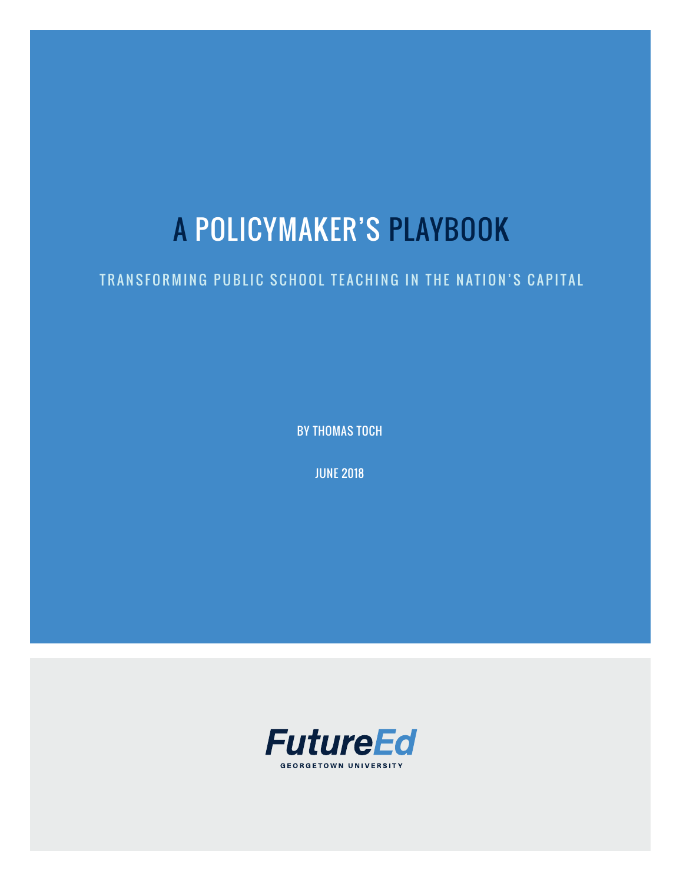# A POLICYMAKER'S PLAYBOOK

# TRANSFORMING PUBLIC SCHOOL TEACHING IN THE NATION'S CAPITAL

BY THOMAS TOCH

JUNE 2018

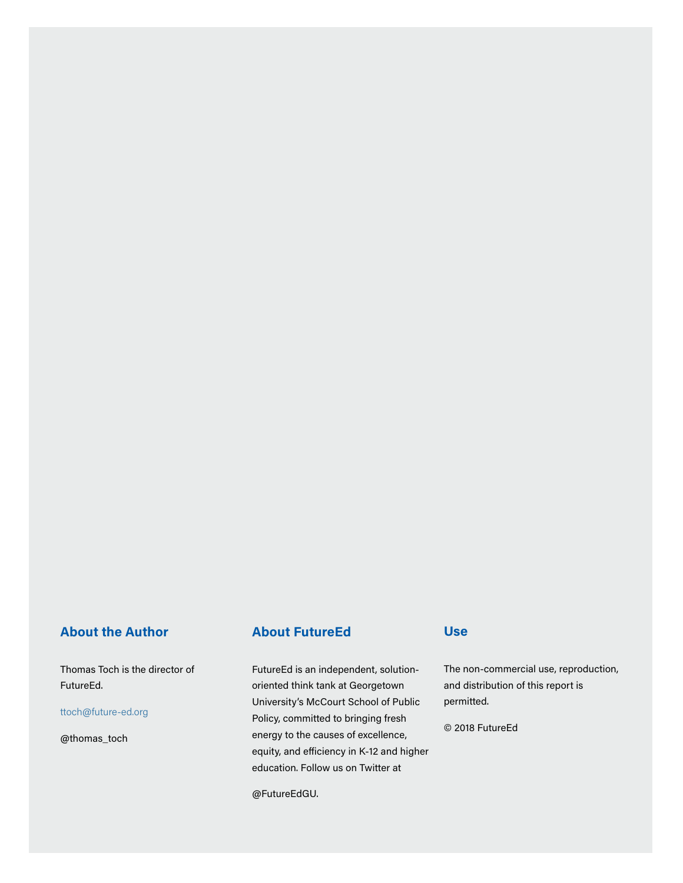#### **About the Author**

Thomas Toch is the director of FutureEd.

[ttoch@future-ed.org](http://ttoch@future-ed.org)

@thomas\_toch

#### **About FutureEd**

FutureEd is an independent, solutionoriented think tank at Georgetown University's McCourt School of Public Policy, committed to bringing fresh energy to the causes of excellence, equity, and efficiency in K-12 and higher education. Follow us on Twitter at

@FutureEdGU.

#### **Use**

The non-commercial use, reproduction, and distribution of this report is permitted.

© 2018 FutureEd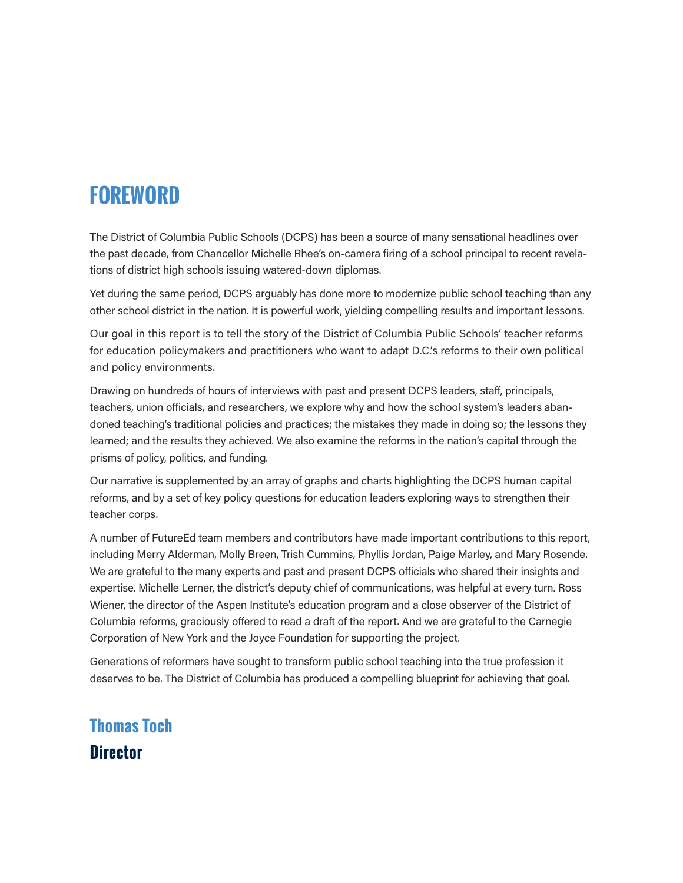# <span id="page-2-0"></span>**FOREWORD**

The District of Columbia Public Schools (DCPS) has been a source of many sensational headlines over the past decade, from Chancellor Michelle Rhee's on-camera firing of a school principal to recent revelations of district high schools issuing watered-down diplomas.

Yet during the same period, DCPS arguably has done more to modernize public school teaching than any other school district in the nation. It is powerful work, yielding compelling results and important lessons.

Our goal in this report is to tell the story of the District of Columbia Public Schools' teacher reforms for education policymakers and practitioners who want to adapt D.C.'s reforms to their own political and policy environments.

Drawing on hundreds of hours of interviews with past and present DCPS leaders, staff, principals, teachers, union officials, and researchers, we explore why and how the school system's leaders abandoned teaching's traditional policies and practices; the mistakes they made in doing so; the lessons they learned; and the results they achieved. We also examine the reforms in the nation's capital through the prisms of policy, politics, and funding.

Our narrative is supplemented by an array of graphs and charts highlighting the DCPS human capital reforms, and by a set of key policy questions for education leaders exploring ways to strengthen their teacher corps.

A number of FutureEd team members and contributors have made important contributions to this report, including Merry Alderman, Molly Breen, Trish Cummins, Phyllis Jordan, Paige Marley, and Mary Rosende. We are grateful to the many experts and past and present DCPS officials who shared their insights and expertise. Michelle Lerner, the district's deputy chief of communications, was helpful at every turn. Ross Wiener, the director of the Aspen Institute's education program and a close observer of the District of Columbia reforms, graciously offered to read a draft of the report. And we are grateful to the Carnegie Corporation of New York and the Joyce Foundation for supporting the project.

Generations of reformers have sought to transform public school teaching into the true profession it deserves to be. The District of Columbia has produced a compelling blueprint for achieving that goal.

# **Thomas Toch Director**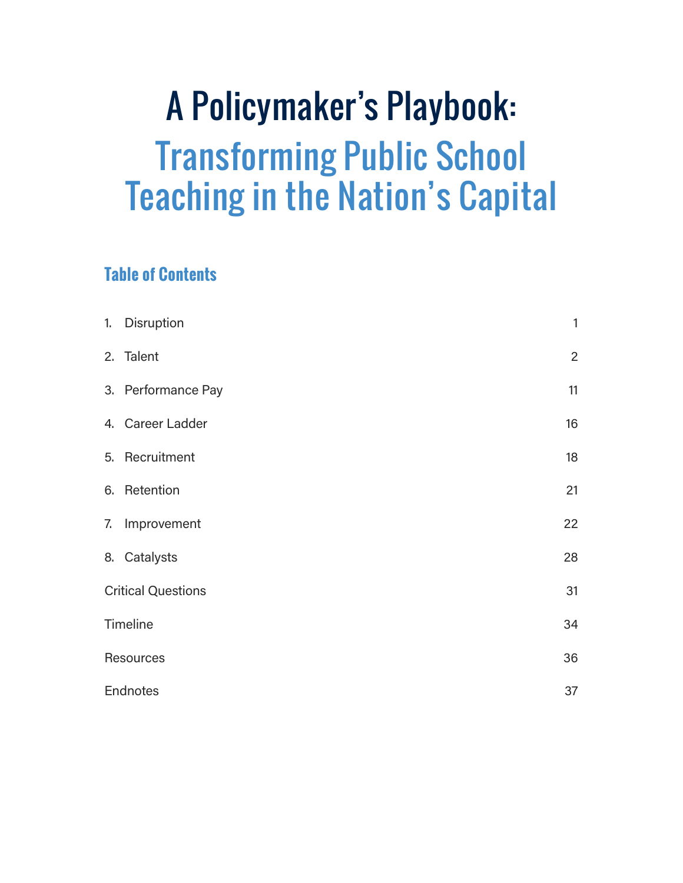# A Policymaker's Playbook: Transforming Public School Teaching in the Nation's Capital

# **Table of Contents**

|                           | 1. Disruption      | $\mathbf{1}$   |
|---------------------------|--------------------|----------------|
|                           | 2. Talent          | $\overline{2}$ |
|                           | 3. Performance Pay | 11             |
|                           | 4. Career Ladder   | 16             |
|                           | 5. Recruitment     | 18             |
|                           | 6. Retention       | 21             |
|                           | 7. Improvement     | 22             |
|                           | 8. Catalysts       | 28             |
| <b>Critical Questions</b> |                    | 31             |
|                           | <b>Timeline</b>    |                |
|                           | <b>Resources</b>   |                |
| <b>Endnotes</b>           |                    | 37             |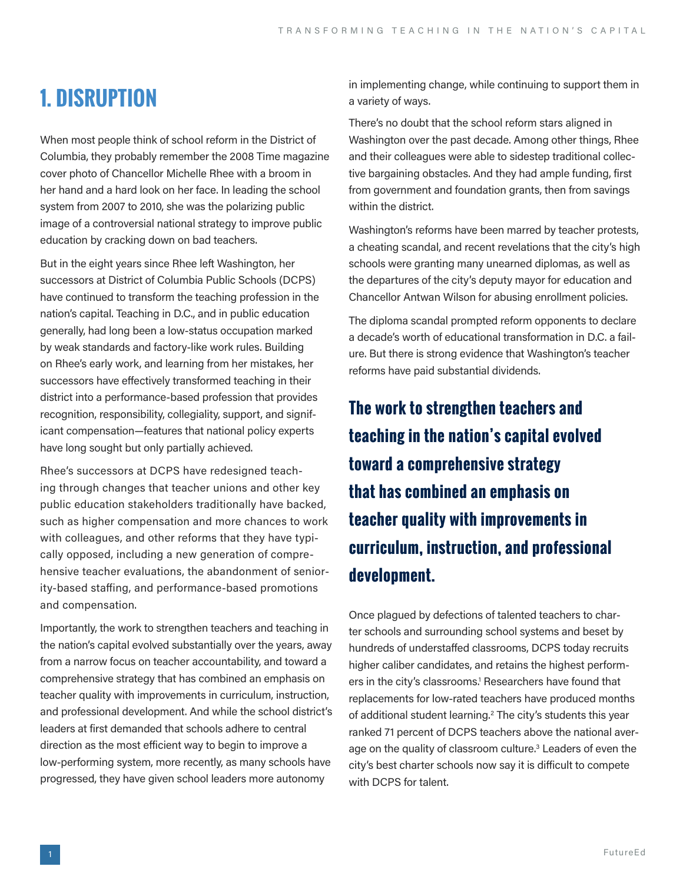# **1. DISRUPTION**

When most people think of school reform in the District of Columbia, they probably remember the 2008 Time magazine cover photo of Chancellor Michelle Rhee with a broom in her hand and a hard look on her face. In leading the school system from 2007 to 2010, she was the polarizing public image of a controversial national strategy to improve public education by cracking down on bad teachers.

But in the eight years since Rhee left Washington, her successors at District of Columbia Public Schools (DCPS) have continued to transform the teaching profession in the nation's capital. Teaching in D.C., and in public education generally, had long been a low-status occupation marked by weak standards and factory-like work rules. Building on Rhee's early work, and learning from her mistakes, her successors have effectively transformed teaching in their district into a performance-based profession that provides recognition, responsibility, collegiality, support, and significant compensation—features that national policy experts have long sought but only partially achieved.

Rhee's successors at DCPS have redesigned teaching through changes that teacher unions and other key public education stakeholders traditionally have backed, such as higher compensation and more chances to work with colleagues, and other reforms that they have typically opposed, including a new generation of comprehensive teacher evaluations, the abandonment of seniority-based staffing, and performance-based promotions and compensation.

Importantly, the work to strengthen teachers and teaching in the nation's capital evolved substantially over the years, away from a narrow focus on teacher accountability, and toward a comprehensive strategy that has combined an emphasis on teacher quality with improvements in curriculum, instruction, and professional development. And while the school district's leaders at first demanded that schools adhere to central direction as the most efficient way to begin to improve a low-performing system, more recently, as many schools have progressed, they have given school leaders more autonomy

in implementing change, while continuing to support them in a variety of ways.

There's no doubt that the school reform stars aligned in Washington over the past decade. Among other things, Rhee and their colleagues were able to sidestep traditional collective bargaining obstacles. And they had ample funding, first from government and foundation grants, then from savings within the district.

Washington's reforms have been marred by teacher protests, a cheating scandal, and recent revelations that the city's high schools were granting many unearned diplomas, as well as the departures of the city's deputy mayor for education and Chancellor Antwan Wilson for abusing enrollment policies.

The diploma scandal [prompted reform o](https://www.manhattan-institute.org/html/fraud-and-failure-dc-public-schools-10946.html)pponents to declare a decade's worth of educational transformation in D.C. a failure. But there is strong evidence that Washington's teacher reforms have paid substantial dividends.

# **The work to strengthen teachers and teaching in the nation's capital evolved toward a comprehensive strategy that has combined an emphasis on teacher quality with improvements in curriculum, instruction, and professional development.**

Once plagued by defections of talented teachers to charter schools and surrounding school systems and beset by hundreds of understaffed classrooms, DCPS today recruits higher caliber candidates, and retains the highest performers in the city's classrooms.<sup>1</sup> Researchers have found that replacements for low-rated teachers have produced months of additional student learning.<sup>2</sup> The city's students this year ranked 71 percent of DCPS teachers above the national average on the quality of classroom culture.<sup>3</sup> Leaders of even the city's best charter schools now say it is difficult to compete with DCPS for talent.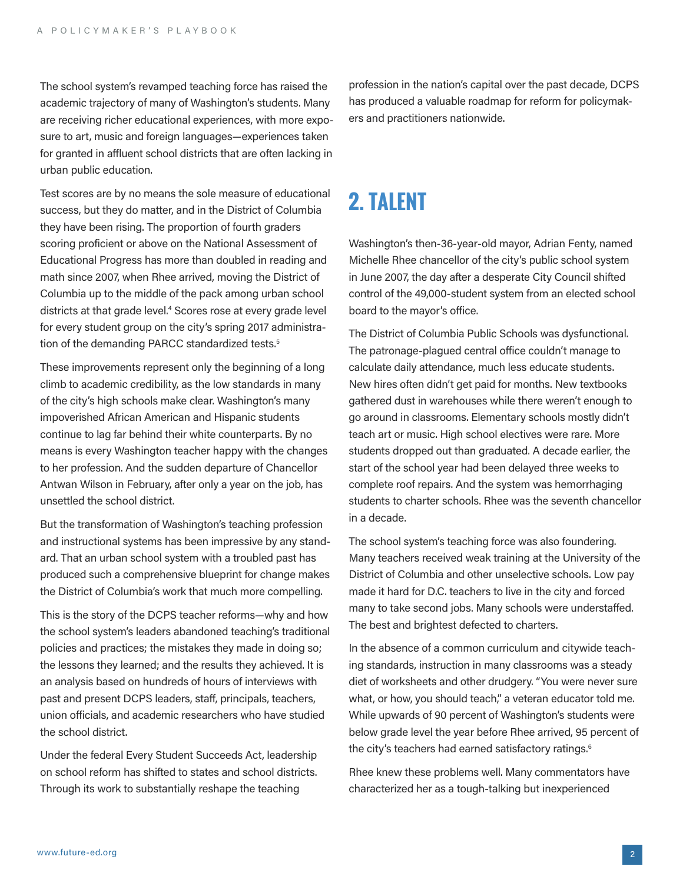The school system's revamped teaching force has raised the academic trajectory of many of Washington's students. Many are receiving richer educational experiences, with more exposure to art, music and foreign languages—experiences taken for granted in affluent school districts that are often lacking in urban public education.

Test scores are by no means the sole measure of educational success, but they do matter, and in the District of Columbia they have been rising. The proportion of fourth graders scoring proficient or above on the National Assessment of Educational Progress has more than doubled in reading and math since 2007, when Rhee arrived, moving the District of Columbia up to the middle of the pack among urban school districts at that grade level.<sup>4</sup> Scores rose at every grade level for every student group on the city's spring 2017 administration of the demanding PARCC standardized tests.<sup>5</sup>

These improvements represent only the beginning of a long climb to academic credibility, as the low standards in many of the city's high schools make clear. Washington's many impoverished African American and Hispanic students continue to lag far behind their white counterparts. By no means is every Washington teacher happy with the changes to her profession. And the sudden departure of Chancellor Antwan Wilson in February, after only a year on the job, has unsettled the school district.

But the transformation of Washington's teaching profession and instructional systems has been impressive by any standard. That an urban school system with a troubled past has produced such a comprehensive blueprint for change makes the District of Columbia's work that much more compelling.

This is the story of the DCPS teacher reforms—why and how the school system's leaders abandoned teaching's traditional policies and practices; the mistakes they made in doing so; the lessons they learned; and the results they achieved. It is an analysis based on hundreds of hours of interviews with past and present DCPS leaders, staff, principals, teachers, union officials, and academic researchers who have studied the school district.

Under the federal Every Student Succeeds Act, leadership on school reform has shifted to states and school districts. Through its work to substantially reshape the teaching

profession in the nation's capital over the past decade, DCPS has produced a valuable roadmap for reform for policymakers and practitioners nationwide.

# **2. TALENT**

Washington's then-36-year-old mayor, Adrian Fenty, named Michelle Rhee chancellor of the city's public school system in June 2007, the day after a desperate City Council shifted control of the 49,000-student system from an elected school board to the mayor's office.

The District of Columbia Public Schools was dysfunctional. The patronage-plagued central office couldn't manage to calculate daily attendance, much less educate students. New hires often didn't get paid for months. New textbooks gathered dust in warehouses while there weren't enough to go around in classrooms. Elementary schools mostly didn't teach art or music. High school electives were rare. More students dropped out than graduated. A decade earlier, the start of the school year had been delayed three weeks to complete roof repairs. And the system was hemorrhaging students to charter schools. Rhee was the seventh chancellor in a decade.

The school system's teaching force was also foundering. Many teachers received weak training at the University of the District of Columbia and other unselective schools. Low pay made it hard for D.C. teachers to live in the city and forced many to take second jobs. Many schools were understaffed. The best and brightest defected to charters.

In the absence of a common curriculum and citywide teaching standards, instruction in many classrooms was a steady diet of worksheets and other drudgery. "You were never sure what, or how, you should teach," a veteran educator told me. While upwards of 90 percent of Washington's students were below grade level the year before Rhee arrived, 95 percent of the city's teachers had earned satisfactory ratings.<sup>6</sup>

Rhee knew these problems well. Many commentators have characterized her as a tough-talking but inexperienced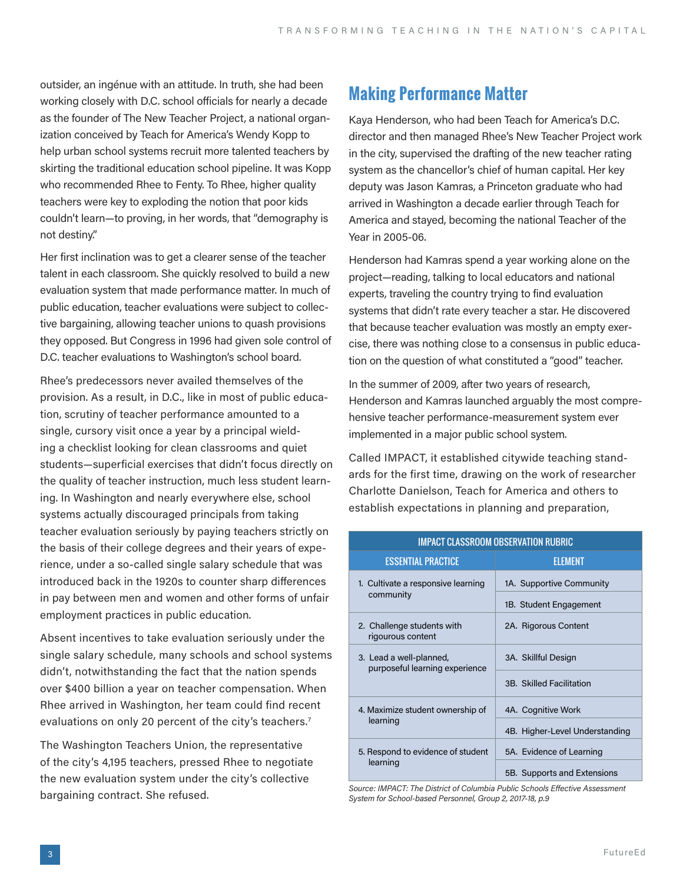outsider, an ingénue with an attitude. In truth, she had been working closely with D.C. school officials for nearly a decade as the founder of The New Teacher Project, a national organization conceived by Teach for America's Wendy Kopp to help urban school systems recruit more talented teachers by skirting the traditional education school pipeline. It was Kopp who recommended Rhee to Fenty. To Rhee, higher quality teachers were key to exploding the notion that poor kids couldn't learn—to proving, in her words, that "demography is not destiny."

Her first inclination was to get a clearer sense of the teacher talent in each classroom. She quickly resolved to build a new evaluation system that made performance matter. In much of public education, teacher evaluations were subject to collective bargaining, allowing teacher unions to quash provisions they opposed. But Congress in 1996 had given sole control of D.C. teacher evaluations to Washington's school board.

Rhee's predecessors never availed themselves of the provision. As a result, in D.C., like in most of public education, scrutiny of teacher performance amounted to a single, cursory visit once a year by a principal wielding a checklist looking for clean classrooms and quiet students—superficial exercises that didn't focus directly on the quality of teacher instruction, much less student learning. In Washington and nearly everywhere else, school systems actually discouraged principals from taking teacher evaluation seriously by paying teachers strictly on the basis of their college degrees and their years of experience, under a so-called single salary schedule that was introduced back in the 1920s to counter sharp differences in pay between men and women and other forms of unfair employment practices in public education.

Absent incentives to take evaluation seriously under the single salary schedule, many schools and school systems didn't, notwithstanding the fact that the nation spends over \$400 billion a year on teacher compensation. When Rhee arrived in Washington, her team could find recent evaluations on only 20 percent of the city's teachers.<sup>7</sup>

The Washington Teachers Union, the representative of the city's 4,195 teachers, pressed Rhee to negotiate the new evaluation system under the city's collective bargaining contract. She refused.

# **Making Performance Matter**

Kaya Henderson, who had been Teach for America's D.C. director and then managed Rhee's New Teacher Project work in the city, supervised the drafting of the new teacher rating system as the chancellor's chief of human capital. Her key deputy was Jason Kamras, a Princeton graduate who had arrived in Washington a decade earlier through Teach for America and stayed, becoming the national Teacher of the Year in 2005-06.

Henderson had Kamras spend a year working alone on the project—reading, talking to local educators and national experts, traveling the country trying to find evaluation systems that didn't rate every teacher a star. He discovered that because teacher evaluation was mostly an empty exercise, there was nothing close to a consensus in public education on the question of what constituted a "good" teacher.

In the summer of 2009, after two years of research, Henderson and Kamras launched arguably the most comprehensive teacher performance-measurement system ever implemented in a major public school system.

Called IMPACT, it established citywide teaching standards for the first time, drawing on the work of researcher Charlotte Danielson, Teach for America and others to establish expectations in planning and preparation,

| <b>IMPACT CLASSROOM OBSERVATION RUBRIC</b>                |                                |  |  |  |  |  |
|-----------------------------------------------------------|--------------------------------|--|--|--|--|--|
| <b>ESSENTIAL PRACTICE</b>                                 | <b>ELEMENT</b>                 |  |  |  |  |  |
| 1. Cultivate a responsive learning                        | 1A. Supportive Community       |  |  |  |  |  |
| community                                                 | 1B. Student Engagement         |  |  |  |  |  |
| 2. Challenge students with<br>rigourous content           | 2A. Rigorous Content           |  |  |  |  |  |
| 3. Lead a well-planned,<br>purposeful learning experience | 3A. Skillful Design            |  |  |  |  |  |
|                                                           | 3B. Skilled Facilitation       |  |  |  |  |  |
| 4. Maximize student ownership of<br>learning              | 4A. Cognitive Work             |  |  |  |  |  |
|                                                           | 4B. Higher-Level Understanding |  |  |  |  |  |
| 5. Respond to evidence of student                         | 5A. Evidence of Learning       |  |  |  |  |  |
| learning                                                  | 5B. Supports and Extensions    |  |  |  |  |  |

*Source: IMPACT: The District of Columbia Public Schools Effective Assessment System for School-based Personnel, Group 2, 2017-18, p.9*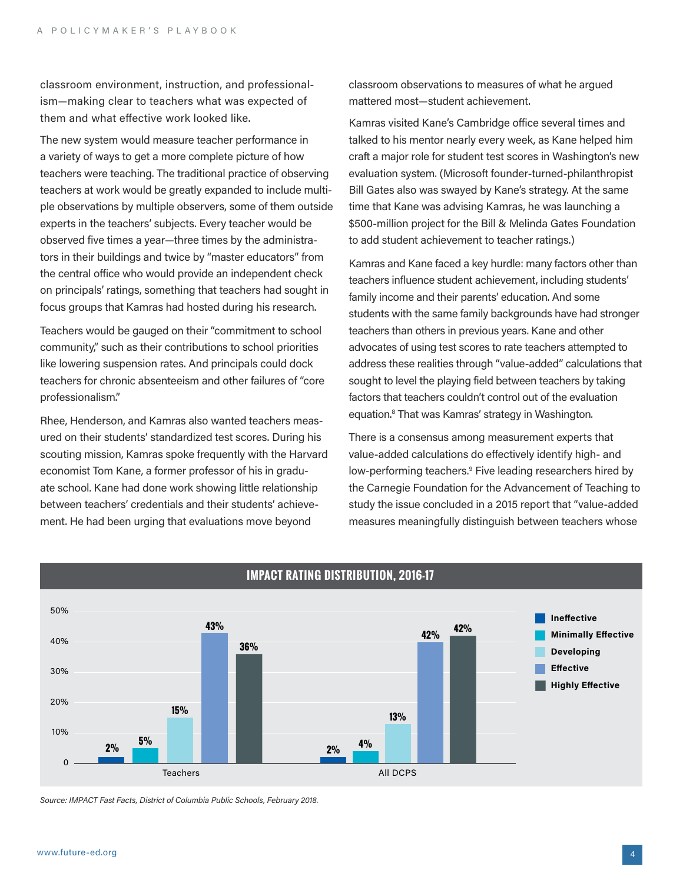classroom environment, instruction, and professionalism—making clear to teachers what was expected of them and what effective work looked like.

The new system would measure teacher performance in a variety of ways to get a more complete picture of how teachers were teaching. The traditional practice of observing teachers at work would be greatly expanded to include multiple observations by multiple observers, some of them outside experts in the teachers' subjects. Every teacher would be observed five times a year—three times by the administrators in their buildings and twice by "master educators" from the central office who would provide an independent check on principals' ratings, something that teachers had sought in focus groups that Kamras had hosted during his research.

Teachers would be gauged on their "commitment to school community," such as their contributions to school priorities like lowering suspension rates. And principals could dock teachers for chronic absenteeism and other failures of "core professionalism."

Rhee, Henderson, and Kamras also wanted teachers measured on their students' standardized test scores. During his scouting mission, Kamras spoke frequently with the Harvard economist Tom Kane, a former professor of his in graduate school. Kane had done work showing little relationship between teachers' credentials and their students' achievement. He had been urging that evaluations move beyond

classroom observations to measures of what he argued mattered most—student achievement.

Kamras visited Kane's Cambridge office several times and talked to his mentor nearly every week, as Kane helped him craft a major role for student test scores in Washington's new evaluation system. (Microsoft founder-turned-philanthropist Bill Gates also was swayed by Kane's strategy. At the same time that Kane was advising Kamras, he was launching a \$500-million project for the Bill & Melinda Gates Foundation to add student achievement to teacher ratings.)

Kamras and Kane faced a key hurdle: many factors other than teachers influence student achievement, including students' family income and their parents' education. And some students with the same family backgrounds have had stronger teachers than others in previous years. Kane and other advocates of using test scores to rate teachers attempted to address these realities through "value-added" calculations that sought to level the playing field between teachers by taking factors that teachers couldn't control out of the evaluation equation.<sup>8</sup> That was Kamras' strategy in Washington.

There is a consensus among measurement experts that value-added calculations do effectively identify high- and low-performing teachers.<sup>9</sup> Five leading researchers hired by the Carnegie Foundation for the Advancement of Teaching to study the issue concluded in a 2015 report that "value-added measures meaningfully distinguish between teachers whose



#### **IMPACT RATING DISTRIBUTION, 2016-17**

*Source: IMPACT Fast Facts, District of Columbia Public Schools, February 2018.*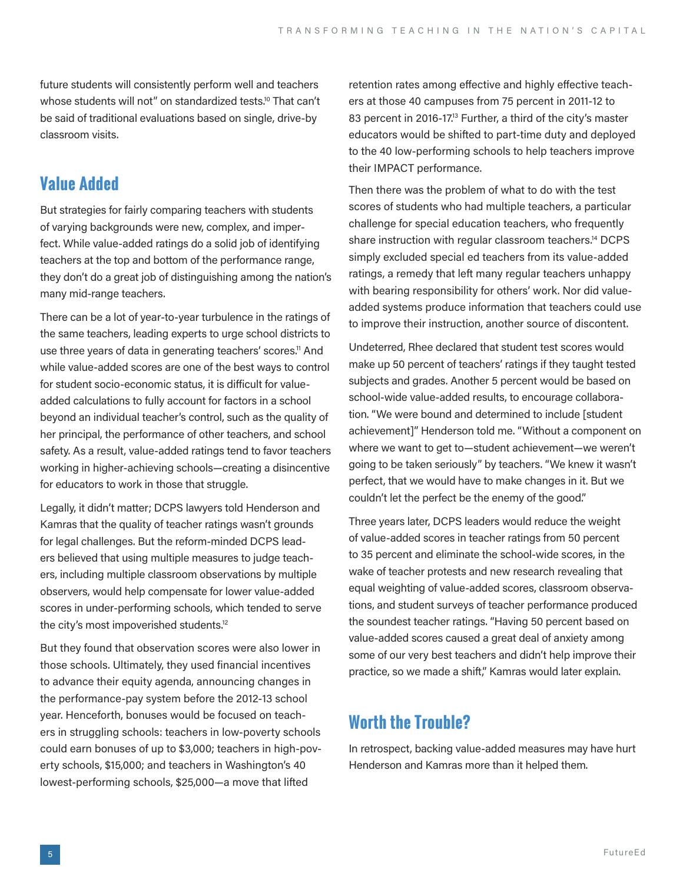future students will consistently perform well and teachers whose students will not" on standardized tests.<sup>10</sup> That can't be said of traditional evaluations based on single, drive-by classroom visits.

### **Value Added**

But strategies for fairly comparing teachers with students of varying backgrounds were new, complex, and imperfect. While value-added ratings do a solid job of identifying teachers at the top and bottom of the performance range, they don't do a great job of distinguishing among the nation's many mid-range teachers.

There can be a lot of year-to-year turbulence in the ratings of the same teachers, leading experts to urge school districts to use three years of data in generating teachers' scores.<sup>11</sup> And while value-added scores are one of the best ways to control for student socio-economic status, it is difficult for valueadded calculations to fully account for factors in a school beyond an individual teacher's control, such as the quality of her principal, the performance of other teachers, and school safety. As a result, value-added ratings tend to favor teachers working in higher-achieving schools—creating a disincentive for educators to work in those that struggle.

Legally, it didn't matter; DCPS lawyers told Henderson and Kamras that the quality of teacher ratings wasn't grounds for legal challenges. But the reform-minded DCPS leaders believed that using multiple measures to judge teachers, including multiple classroom observations by multiple observers, would help compensate for lower value-added scores in under-performing schools, which tended to serve the city's most impoverished students.<sup>12</sup>

But they found that observation scores were also lower in those schools. Ultimately, they used financial incentives to advance their equity agenda, announcing changes in the performance-pay system before the 2012-13 school year. Henceforth, bonuses would be focused on teachers in struggling schools: teachers in low-poverty schools could earn bonuses of up to \$3,000; teachers in high-poverty schools, \$15,000; and teachers in Washington's 40 lowest-performing schools, \$25,000—a move that lifted

retention rates among effective and highly effective teachers at those 40 campuses from 75 percent in 2011-12 to 83 percent in 2016-17.<sup>13</sup> Further, a third of the city's master educators would be shifted to part-time duty and deployed to the 40 low-performing schools to help teachers improve their IMPACT performance.

Then there was the problem of what to do with the test scores of students who had multiple teachers, a particular challenge for special education teachers, who frequently share instruction with regular classroom teachers.<sup>14</sup> DCPS simply excluded special ed teachers from its value-added ratings, a remedy that left many regular teachers unhappy with bearing responsibility for others' work. Nor did valueadded systems produce information that teachers could use to improve their instruction, another source of discontent.

Undeterred, Rhee declared that student test scores would make up 50 percent of teachers' ratings if they taught tested subjects and grades. Another 5 percent would be based on school-wide value-added results, to encourage collaboration. "We were bound and determined to include [student achievement]" Henderson told me. "Without a component on where we want to get to—student achievement—we weren't going to be taken seriously" by teachers. "We knew it wasn't perfect, that we would have to make changes in it. But we couldn't let the perfect be the enemy of the good."

Three years later, DCPS leaders would reduce the weight of value-added scores in teacher ratings from 50 percent to 35 percent and eliminate the school-wide scores, in the wake of teacher protests and new research revealing that equal weighting of value-added scores, classroom observations, and student surveys of teacher performance produced the soundest teacher ratings. "Having 50 percent based on value-added scores caused a great deal of anxiety among some of our very best teachers and didn't help improve their practice, so we made a shift," Kamras would later explain.

## **Worth the Trouble?**

In retrospect, backing value-added measures may have hurt Henderson and Kamras more than it helped them.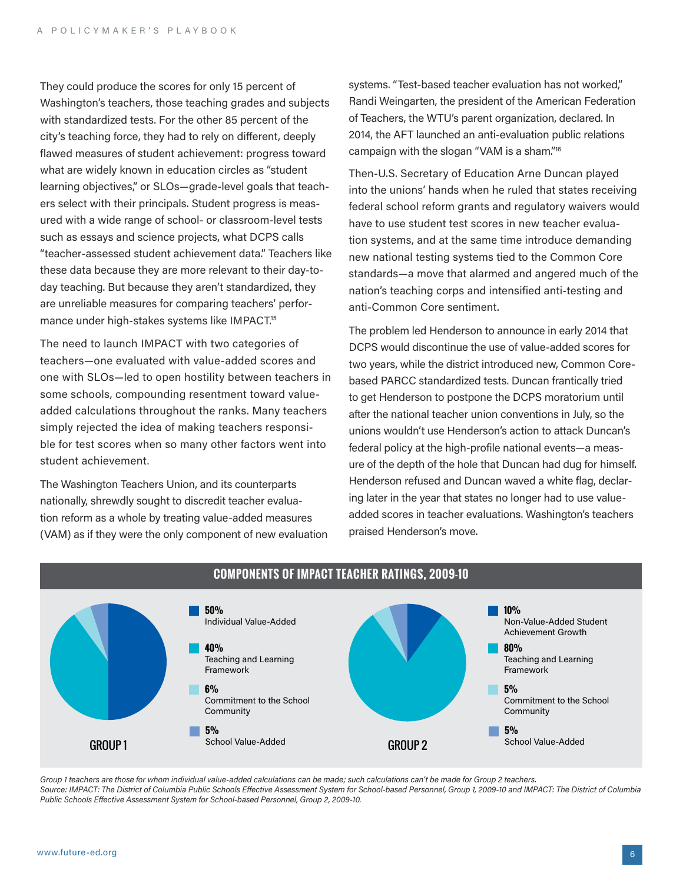They could produce the scores for only 15 percent of Washington's teachers, those teaching grades and subjects with standardized tests. For the other 85 percent of the city's teaching force, they had to rely on different, deeply flawed measures of student achievement: progress toward what are widely known in education circles as "student learning objectives," or SLOs—grade-level goals that teachers select with their principals. Student progress is measured with a wide range of school- or classroom-level tests such as essays and science projects, what DCPS calls "teacher-assessed student achievement data." Teachers like these data because they are more relevant to their day-today teaching. But because they aren't standardized, they are unreliable measures for comparing teachers' performance under high-stakes systems like IMPACT.<sup>15</sup>

The need to launch IMPACT with two categories of teachers—one evaluated with value-added scores and one with SLOs—led to open hostility between teachers in some schools, compounding resentment toward valueadded calculations throughout the ranks. Many teachers simply rejected the idea of making teachers responsible for test scores when so many other factors went into student achievement.

The Washington Teachers Union, and its counterparts nationally, shrewdly sought to discredit teacher evaluation reform as a whole by treating value-added measures (VAM) as if they were the only component of new evaluation systems. "Test-based teacher evaluation has not worked," Randi Weingarten, the president of the American Federation of Teachers, the WTU's parent organization, declared. In 2014, the AFT launched an anti-evaluation public relations campaign with the slogan "VAM is a sham."<sup>16</sup>

Then-U.S. Secretary of Education Arne Duncan played into the unions' hands when he ruled that states receiving federal school reform grants and regulatory waivers would have to use student test scores in new teacher evaluation systems, and at the same time introduce demanding new national testing systems tied to the Common Core standards—a move that alarmed and angered much of the nation's teaching corps and intensified anti-testing and anti-Common Core sentiment.

The problem led Henderson to announce in early 2014 that DCPS would discontinue the use of value-added scores for two years, while the district introduced new, Common Corebased PARCC standardized tests. Duncan frantically tried to get Henderson to postpone the DCPS moratorium until after the national teacher union conventions in July, so the unions wouldn't use Henderson's action to attack Duncan's federal policy at the high-profile national events—a measure of the depth of the hole that Duncan had dug for himself. Henderson refused and Duncan waved a white flag, declaring later in the year that states no longer had to use valueadded scores in teacher evaluations. Washington's teachers praised Henderson's move.



#### **COMPONENTS OF IMPACT TEACHER RATINGS, 2009-10**

*Group 1 teachers are those for whom individual value-added calculations can be made; such calculations can't be made for Group 2 teachers.*

Source: IMPACT: The District of Columbia Public Schools Effective Assessment System for School-based Personnel, Group 1, 2009-10 and IMPACT: The District of Columbia *Public Schools Effective Assessment System for School-based Personnel, Group 2, 2009-10.*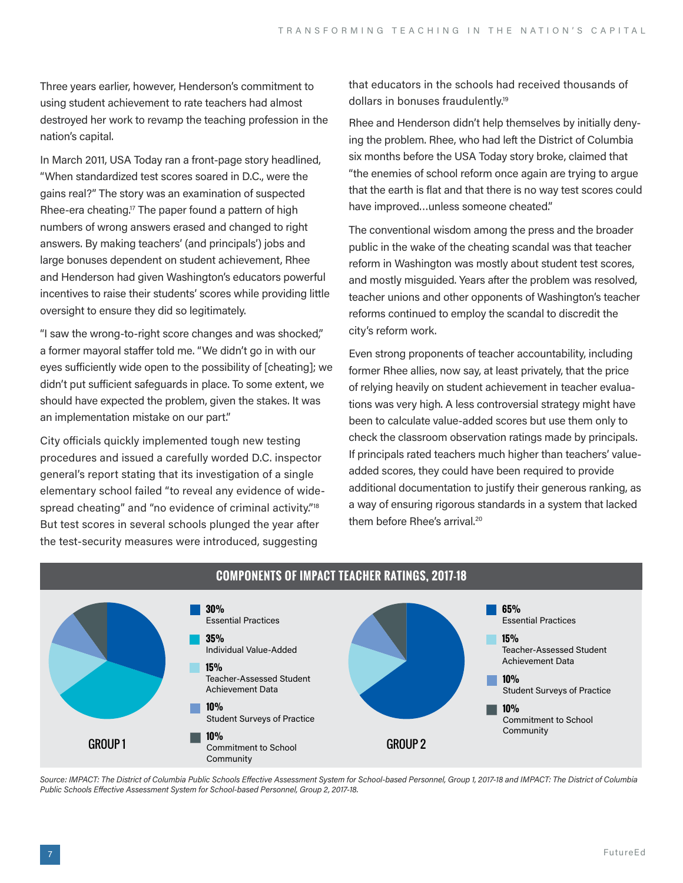Three years earlier, however, Henderson's commitment to using student achievement to rate teachers had almost destroyed her work to revamp the teaching profession in the nation's capital.

In March 2011, USA Today ran a front-page story headlined, "When standardized test scores soared in D.C., were the gains real?" The story was an examination of suspected Rhee-era cheating.<sup>17</sup> The paper found a pattern of high numbers of wrong answers erased and changed to right answers. By making teachers' (and principals') jobs and large bonuses dependent on student achievement, Rhee and Henderson had given Washington's educators powerful incentives to raise their students' scores while providing little oversight to ensure they did so legitimately.

"I saw the wrong-to-right score changes and was shocked," a former mayoral staffer told me. "We didn't go in with our eyes sufficiently wide open to the possibility of [cheating]; we didn't put sufficient safeguards in place. To some extent, we should have expected the problem, given the stakes. It was an implementation mistake on our part."

City officials quickly implemented tough new testing procedures and issued a carefully worded D.C. inspector general's report stating that its investigation of a single elementary school failed "to reveal any evidence of widespread cheating" and "no evidence of criminal activity."<sup>18</sup> But test scores in several schools plunged the year after the test-security measures were introduced, suggesting

that educators in the schools had received thousands of dollars in bonuses fraudulently.<sup>19</sup>

Rhee and Henderson didn't help themselves by initially denying the problem. Rhee, who had left the District of Columbia six months before the USA Today story broke, claimed that "the enemies of school reform once again are trying to argue that the earth is flat and that there is no way test scores could have improved…unless someone cheated."

The conventional wisdom among the press and the broader public in the wake of the cheating scandal was that teacher reform in Washington was mostly about student test scores, and mostly misguided. Years after the problem was resolved, teacher unions and other opponents of Washington's teacher reforms continued to employ the scandal to discredit the city's reform work.

Even strong proponents of teacher accountability, including former Rhee allies, now say, at least privately, that the price of relying heavily on student achievement in teacher evaluations was very high. A less controversial strategy might have been to calculate value-added scores but use them only to check the classroom observation ratings made by principals. If principals rated teachers much higher than teachers' valueadded scores, they could have been required to provide additional documentation to justify their generous ranking, as a way of ensuring rigorous standards in a system that lacked them before Rhee's arrival.<sup>20</sup>



#### **COMPONENTS OF IMPACT TEACHER RATINGS, 2017-18**

*Source: IMPACT: The District of Columbia Public Schools Effective Assessment System for School-based Personnel, Group 1, 2017-18 and IMPACT: The District of Columbia Public Schools Effective Assessment System for School-based Personnel, Group 2, 2017-18.*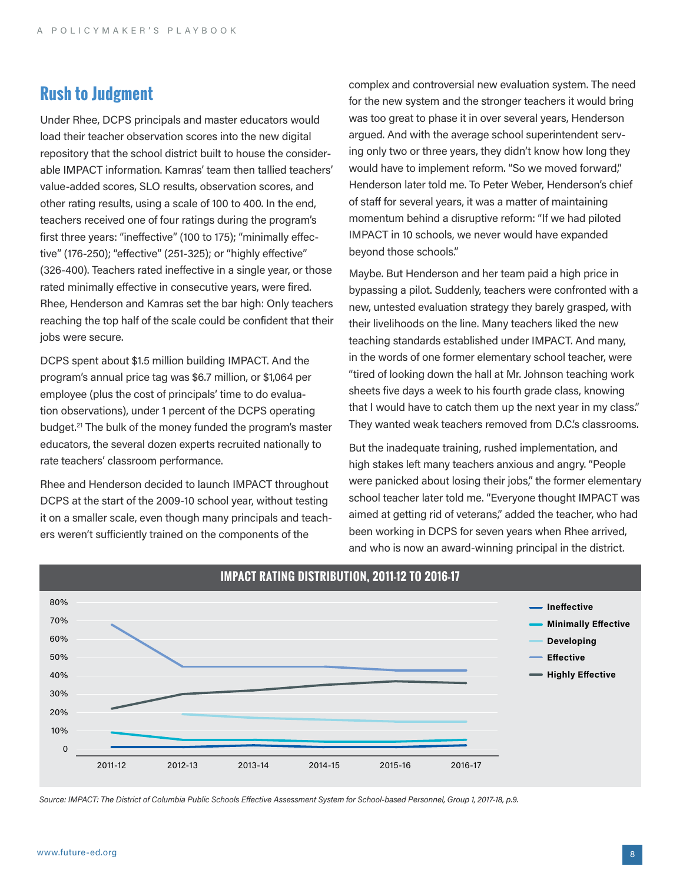### **Rush to Judgment**

Under Rhee, DCPS principals and master educators would load their teacher observation scores into the new digital repository that the school district built to house the considerable IMPACT information. Kamras' team then tallied teachers' value-added scores, SLO results, observation scores, and other rating results, using a scale of 100 to 400. In the end, teachers received one of four ratings during the program's first three years: "ineffective" (100 to 175); "minimally effective" (176-250); "effective" (251-325); or "highly effective" (326-400). Teachers rated ineffective in a single year, or those rated minimally effective in consecutive years, were fired. Rhee, Henderson and Kamras set the bar high: Only teachers reaching the top half of the scale could be confident that their jobs were secure.

DCPS spent about \$1.5 million building IMPACT. And the program's annual price tag was \$6.7 million, or \$1,064 per employee (plus the cost of principals' time to do evaluation observations), under 1 percent of the DCPS operating budget.<sup>21</sup> The bulk of the money funded the program's master educators, the several dozen experts recruited nationally to rate teachers' classroom performance.

Rhee and Henderson decided to launch IMPACT throughout DCPS at the start of the 2009-10 school year, without testing it on a smaller scale, even though many principals and teachers weren't sufficiently trained on the components of the

complex and controversial new evaluation system. The need for the new system and the stronger teachers it would bring was too great to phase it in over several years, Henderson argued. And with the average school superintendent serving only two or three years, they didn't know how long they would have to implement reform. "So we moved forward," Henderson later told me. To Peter Weber, Henderson's chief of staff for several years, it was a matter of maintaining momentum behind a disruptive reform: "If we had piloted IMPACT in 10 schools, we never would have expanded beyond those schools."

Maybe. But Henderson and her team paid a high price in bypassing a pilot. Suddenly, teachers were confronted with a new, untested evaluation strategy they barely grasped, with their livelihoods on the line. Many teachers liked the new teaching standards established under IMPACT. And many, in the words of one former elementary school teacher, were "tired of looking down the hall at Mr. Johnson teaching work sheets five days a week to his fourth grade class, knowing that I would have to catch them up the next year in my class." They wanted weak teachers removed from D.C.'s classrooms.

But the inadequate training, rushed implementation, and high stakes left many teachers anxious and angry. "People were panicked about losing their jobs," the former elementary school teacher later told me. "Everyone thought IMPACT was aimed at getting rid of veterans," added the teacher, who had been working in DCPS for seven years when Rhee arrived, and who is now an award-winning principal in the district.



**IMPACT RATING DISTRIBUTION, 2011-12 TO 2016-17**

*Source: IMPACT: The District of Columbia Public Schools Effective Assessment System for School-based Personnel, Group 1, 2017-18, p.9.*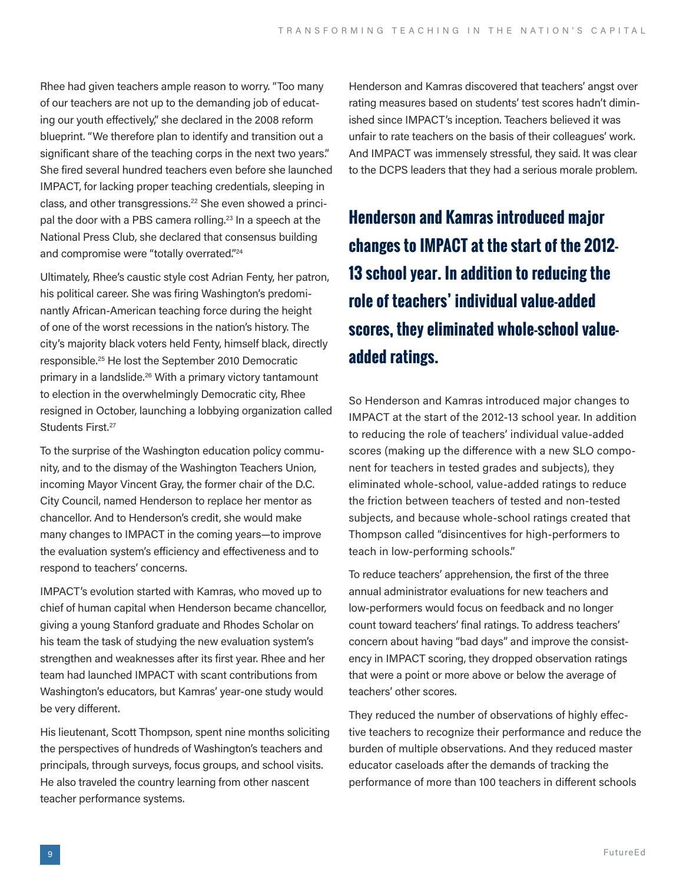Rhee had given teachers ample reason to worry. "Too many of our teachers are not up to the demanding job of educating our youth effectively," she declared in the 2008 reform blueprint. "We therefore plan to identify and transition out a significant share of the teaching corps in the next two years." She fired several hundred teachers even before she launched IMPACT, for lacking proper teaching credentials, sleeping in class, and other transgressions.22 She even showed a principal the door with a PBS camera rolling.<sup>23</sup> In a speech at the National Press Club, she declared that consensus building and compromise were "totally overrated."<sup>24</sup>

Ultimately, Rhee's caustic style cost Adrian Fenty, her patron, his political career. She was firing Washington's predominantly African-American teaching force during the height of one of the worst recessions in the nation's history. The city's majority black voters held Fenty, himself black, directly responsible.<sup>25</sup> He lost the September 2010 Democratic primary in a landslide.<sup>26</sup> With a primary victory tantamount to election in the overwhelmingly Democratic city, Rhee resigned in October, launching a lobbying organization called Students First.<sup>27</sup>

To the surprise of the Washington education policy community, and to the dismay of the Washington Teachers Union, incoming Mayor Vincent Gray, the former chair of the D.C. City Council, named Henderson to replace her mentor as chancellor. And to Henderson's credit, she would make many changes to IMPACT in the coming years—to improve the evaluation system's efficiency and effectiveness and to respond to teachers' concerns.

IMPACT's evolution started with Kamras, who moved up to chief of human capital when Henderson became chancellor, giving a young Stanford graduate and Rhodes Scholar on his team the task of studying the new evaluation system's strengthen and weaknesses after its first year. Rhee and her team had launched IMPACT with scant contributions from Washington's educators, but Kamras' year-one study would be very different.

His lieutenant, Scott Thompson, spent nine months soliciting the perspectives of hundreds of Washington's teachers and principals, through surveys, focus groups, and school visits. He also traveled the country learning from other nascent teacher performance systems.

Henderson and Kamras discovered that teachers' angst over rating measures based on students' test scores hadn't diminished since IMPACT's inception. Teachers believed it was unfair to rate teachers on the basis of their colleagues' work. And IMPACT was immensely stressful, they said. It was clear to the DCPS leaders that they had a serious morale problem.

**Henderson and Kamras introduced major changes to IMPACT at the start of the 2012- 13 school year. In addition to reducing the role of teachers' individual value-added scores, they eliminated whole-school valueadded ratings.** 

So Henderson and Kamras introduced major changes to IMPACT at the start of the 2012-13 school year. In addition to reducing the role of teachers' individual value-added scores (making up the difference with a new SLO component for teachers in tested grades and subjects), they eliminated whole-school, value-added ratings to reduce the friction between teachers of tested and non-tested subjects, and because whole-school ratings created that Thompson called "disincentives for high-performers to teach in low-performing schools."

To reduce teachers' apprehension, the first of the three annual administrator evaluations for new teachers and low-performers would focus on feedback and no longer count toward teachers' final ratings. To address teachers' concern about having "bad days" and improve the consistency in IMPACT scoring, they dropped observation ratings that were a point or more above or below the average of teachers' other scores.

They reduced the number of observations of highly effective teachers to recognize their performance and reduce the burden of multiple observations. And they reduced master educator caseloads after the demands of tracking the performance of more than 100 teachers in different schools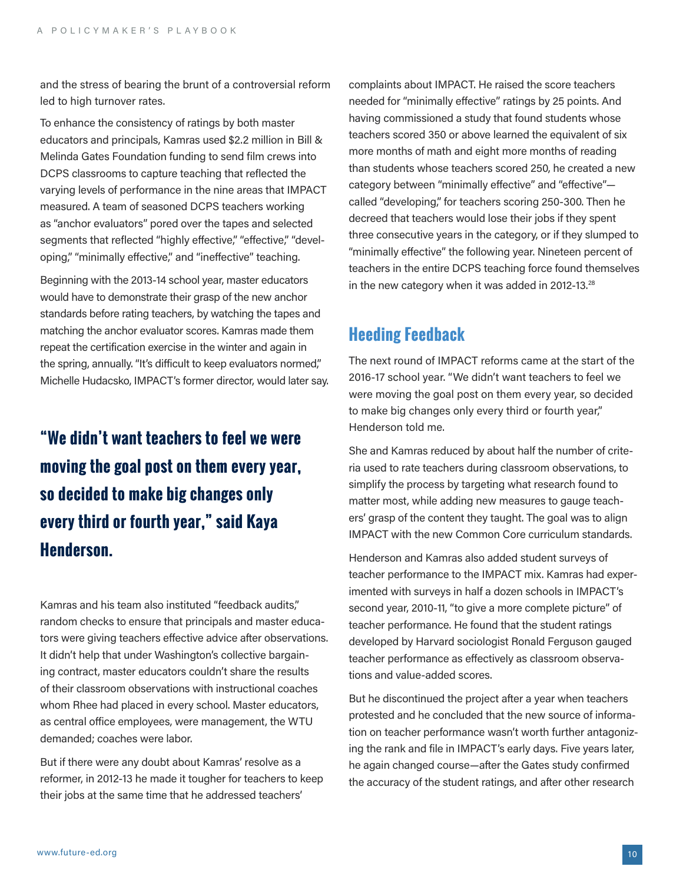and the stress of bearing the brunt of a controversial reform led to high turnover rates.

To enhance the consistency of ratings by both master educators and principals, Kamras used \$2.2 million in Bill & Melinda Gates Foundation funding to send film crews into DCPS classrooms to capture teaching that reflected the varying levels of performance in the nine areas that IMPACT measured. A team of seasoned DCPS teachers working as "anchor evaluators" pored over the tapes and selected segments that reflected "highly effective," "effective," "developing," "minimally effective," and "ineffective" teaching.

Beginning with the 2013-14 school year, master educators would have to demonstrate their grasp of the new anchor standards before rating teachers, by watching the tapes and matching the anchor evaluator scores. Kamras made them repeat the certification exercise in the winter and again in the spring, annually. "It's difficult to keep evaluators normed," Michelle Hudacsko, IMPACT's former director, would later say.

# **"We didn't want teachers to feel we were moving the goal post on them every year, so decided to make big changes only every third or fourth year," said Kaya Henderson.**

Kamras and his team also instituted "feedback audits," random checks to ensure that principals and master educators were giving teachers effective advice after observations. It didn't help that under Washington's collective bargaining contract, master educators couldn't share the results of their classroom observations with instructional coaches whom Rhee had placed in every school. Master educators, as central office employees, were management, the WTU demanded; coaches were labor.

But if there were any doubt about Kamras' resolve as a reformer, in 2012-13 he made it tougher for teachers to keep their jobs at the same time that he addressed teachers'

complaints about IMPACT. He raised the score teachers needed for "minimally effective" ratings by 25 points. And having commissioned a study that found students whose teachers scored 350 or above learned the equivalent of six more months of math and eight more months of reading than students whose teachers scored 250, he created a new category between "minimally effective" and "effective"called "developing," for teachers scoring 250-300. Then he decreed that teachers would lose their jobs if they spent three consecutive years in the category, or if they slumped to "minimally effective" the following year. Nineteen percent of teachers in the entire DCPS teaching force found themselves in the new category when it was added in 2012-13.<sup>28</sup>

### **Heeding Feedback**

The next round of IMPACT reforms came at the start of the 2016-17 school year. "We didn't want teachers to feel we were moving the goal post on them every year, so decided to make big changes only every third or fourth year," Henderson told me.

She and Kamras reduced by about half the number of criteria used to rate teachers during classroom observations, to simplify the process by targeting what research found to matter most, while adding new measures to gauge teachers' grasp of the content they taught. The goal was to align IMPACT with the new Common Core curriculum standards.

Henderson and Kamras also added student surveys of teacher performance to the IMPACT mix. Kamras had experimented with surveys in half a dozen schools in IMPACT's second year, 2010-11, "to give a more complete picture" of teacher performance. He found that the student ratings developed by Harvard sociologist Ronald Ferguson gauged teacher performance as effectively as classroom observations and value-added scores.

But he discontinued the project after a year when teachers protested and he concluded that the new source of information on teacher performance wasn't worth further antagonizing the rank and file in IMPACT's early days. Five years later, he again changed course—after the Gates study confirmed the accuracy of the student ratings, and after other research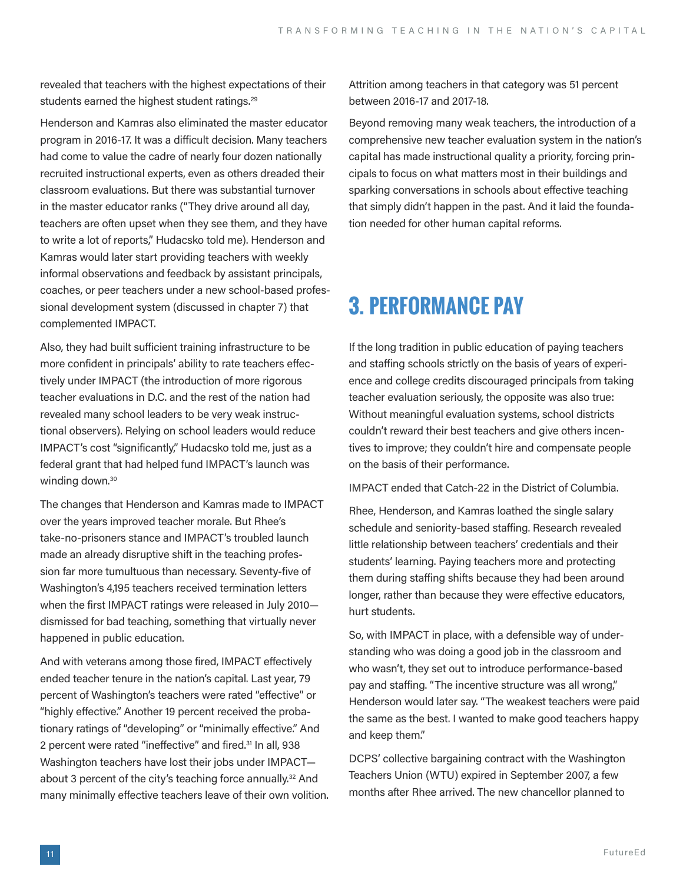<span id="page-14-0"></span>revealed that teachers with the highest expectations of their students earned the highest student ratings.<sup>29</sup>

Henderson and Kamras also eliminated the master educator program in 2016-17. It was a difficult decision. Many teachers had come to value the cadre of nearly four dozen nationally recruited instructional experts, even as others dreaded their classroom evaluations. But there was substantial turnover in the master educator ranks ("They drive around all day, teachers are often upset when they see them, and they have to write a lot of reports," Hudacsko told me). Henderson and Kamras would later start providing teachers with weekly informal observations and feedback by assistant principals, coaches, or peer teachers under a new school-based professional development system (discussed in chapter 7) that complemented IMPACT.

Also, they had built sufficient training infrastructure to be more confident in principals' ability to rate teachers effectively under IMPACT (the introduction of more rigorous teacher evaluations in D.C. and the rest of the nation had revealed many school leaders to be very weak instructional observers). Relying on school leaders would reduce IMPACT's cost "significantly," Hudacsko told me, just as a federal grant that had helped fund IMPACT's launch was winding down.<sup>30</sup>

The changes that Henderson and Kamras made to IMPACT over the years improved teacher morale. But Rhee's take-no-prisoners stance and IMPACT's troubled launch made an already disruptive shift in the teaching profession far more tumultuous than necessary. Seventy-five of Washington's 4,195 teachers received termination letters when the first IMPACT ratings were released in July 2010 dismissed for bad teaching, something that virtually never happened in public education.

And with veterans among those fired, IMPACT effectively ended teacher tenure in the nation's capital. Last year, 79 percent of Washington's teachers were rated "effective" or "highly effective." Another 19 percent received the probationary ratings of "developing" or "minimally effective." And 2 percent were rated "ineffective" and fired.<sup>31</sup> In all, 938 Washington teachers have lost their jobs under IMPACT about 3 percent of the city's teaching force annually.<sup>32</sup> And many minimally effective teachers leave of their own volition. Attrition among teachers in that category was 51 percent between 2016-17 and 2017-18.

Beyond removing many weak teachers, the introduction of a comprehensive new teacher evaluation system in the nation's capital has made instructional quality a priority, forcing principals to focus on what matters most in their buildings and sparking conversations in schools about effective teaching that simply didn't happen in the past. And it laid the foundation needed for other human capital reforms.

# **3. PERFORMANCE PAY**

If the long tradition in public education of paying teachers and staffing schools strictly on the basis of years of experience and college credits discouraged principals from taking teacher evaluation seriously, the opposite was also true: Without meaningful evaluation systems, school districts couldn't reward their best teachers and give others incentives to improve; they couldn't hire and compensate people on the basis of their performance.

IMPACT ended that Catch-22 in the District of Columbia.

Rhee, Henderson, and Kamras loathed the single salary schedule and seniority-based staffing. Research revealed little relationship between teachers' credentials and their students' learning. Paying teachers more and protecting them during staffing shifts because they had been around longer, rather than because they were effective educators, hurt students.

So, with IMPACT in place, with a defensible way of understanding who was doing a good job in the classroom and who wasn't, they set out to introduce performance-based pay and staffing. "The incentive structure was all wrong," Henderson would later say. "The weakest teachers were paid the same as the best. I wanted to make good teachers happy and keep them."

DCPS' collective bargaining contract with the Washington Teachers Union (WTU) expired in September 2007, a few months after Rhee arrived. The new chancellor planned to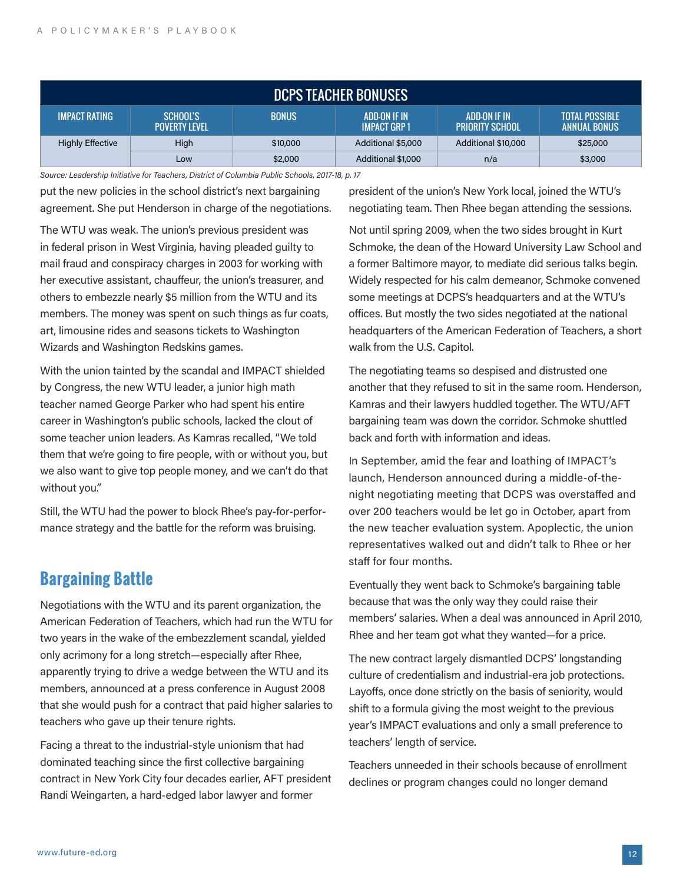| <b>DCPS TEACHER BONUSES</b> |                                  |              |                                     |                                        |                                              |  |  |  |
|-----------------------------|----------------------------------|--------------|-------------------------------------|----------------------------------------|----------------------------------------------|--|--|--|
| <b>IMPACT RATING</b>        | SCHOOL'S<br><b>POVERTY LEVEL</b> | <b>BONUS</b> | ADD-ON IF IN<br><b>IMPACT GRP 1</b> | ADD-ON IF IN<br><b>PRIORITY SCHOOL</b> | <b>TOTAL POSSIBLE</b><br><b>ANNUAL BONUS</b> |  |  |  |
| <b>Highly Effective</b>     | High                             | \$10,000     | Additional \$5,000                  | Additional \$10,000                    | \$25,000                                     |  |  |  |
|                             | Low                              | \$2,000      | Additional \$1,000                  | n/a                                    | \$3,000                                      |  |  |  |

*Source: Leadership Initiative for Teachers, District of Columbia Public Schools, 2017-18, p. 17* 

put the new policies in the school district's next bargaining agreement. She put Henderson in charge of the negotiations.

The WTU was weak. The union's previous president was in federal prison in West Virginia, having pleaded guilty to mail fraud and conspiracy charges in 2003 for working with her executive assistant, chauffeur, the union's treasurer, and others to embezzle nearly \$5 million from the WTU and its members. The money was spent on such things as fur coats, art, limousine rides and seasons tickets to Washington Wizards and Washington Redskins games.

With the union tainted by the scandal and IMPACT shielded by Congress, the new WTU leader, a junior high math teacher named George Parker who had spent his entire career in Washington's public schools, lacked the clout of some teacher union leaders. As Kamras recalled, "We told them that we're going to fire people, with or without you, but we also want to give top people money, and we can't do that without you."

Still, the WTU had the power to block Rhee's pay-for-performance strategy and the battle for the reform was bruising.

### **Bargaining Battle**

Negotiations with the WTU and its parent organization, the American Federation of Teachers, which had run the WTU for two years in the wake of the embezzlement scandal, yielded only acrimony for a long stretch—especially after Rhee, apparently trying to drive a wedge between the WTU and its members, announced at a press conference in August 2008 that she would push for a contract that paid higher salaries to teachers who gave up their tenure rights.

Facing a threat to the industrial-style unionism that had dominated teaching since the first collective bargaining contract in New York City four decades earlier, AFT president Randi Weingarten, a hard-edged labor lawyer and former

president of the union's New York local, joined the WTU's negotiating team. Then Rhee began attending the sessions.

Not until spring 2009, when the two sides brought in Kurt Schmoke, the dean of the Howard University Law School and a former Baltimore mayor, to mediate did serious talks begin. Widely respected for his calm demeanor, Schmoke convened some meetings at DCPS's headquarters and at the WTU's offices. But mostly the two sides negotiated at the national headquarters of the American Federation of Teachers, a short walk from the U.S. Capitol.

The negotiating teams so despised and distrusted one another that they refused to sit in the same room. Henderson, Kamras and their lawyers huddled together. The WTU/AFT bargaining team was down the corridor. Schmoke shuttled back and forth with information and ideas.

In September, amid the fear and loathing of IMPACT's launch, Henderson announced during a middle-of-thenight negotiating meeting that DCPS was overstaffed and over 200 teachers would be let go in October, apart from the new teacher evaluation system. Apoplectic, the union representatives walked out and didn't talk to Rhee or her staff for four months.

Eventually they went back to Schmoke's bargaining table because that was the only way they could raise their members' salaries. When a deal was announced in April 2010, Rhee and her team got what they wanted—for a price.

The new contract largely dismantled DCPS' longstanding culture of credentialism and industrial-era job protections. Layoffs, once done strictly on the basis of seniority, would shift to a formula giving the most weight to the previous year's IMPACT evaluations and only a small preference to teachers' length of service.

Teachers unneeded in their schools because of enrollment declines or program changes could no longer demand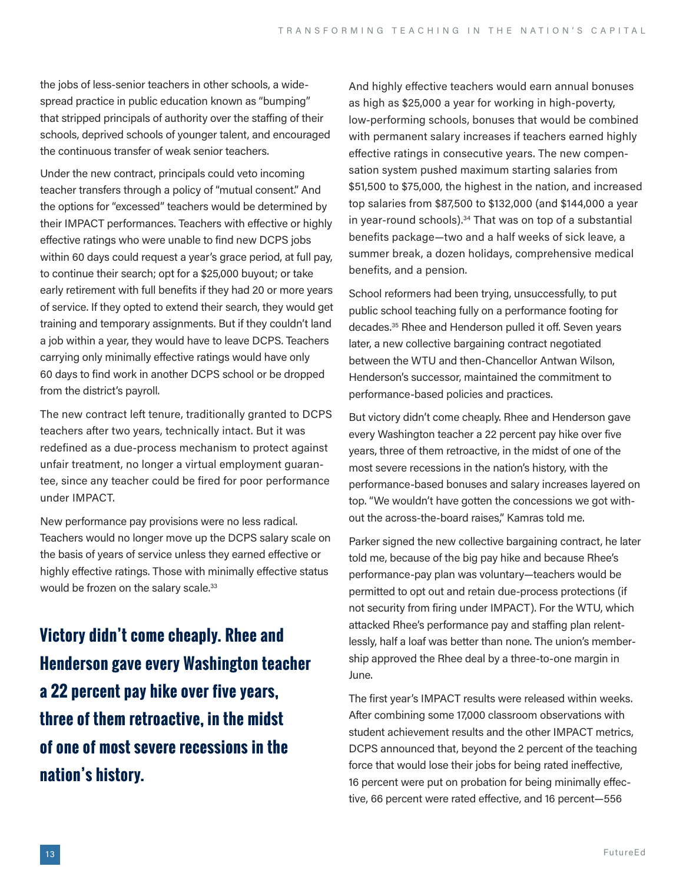the jobs of less-senior teachers in other schools, a widespread practice in public education known as "bumping" that stripped principals of authority over the staffing of their schools, deprived schools of younger talent, and encouraged the continuous transfer of weak senior teachers.

Under the new contract, principals could veto incoming teacher transfers through a policy of "mutual consent." And the options for "excessed" teachers would be determined by their IMPACT performances. Teachers with effective or highly effective ratings who were unable to find new DCPS jobs within 60 days could request a year's grace period, at full pay, to continue their search; opt for a \$25,000 buyout; or take early retirement with full benefits if they had 20 or more years of service. If they opted to extend their search, they would get training and temporary assignments. But if they couldn't land a job within a year, they would have to leave DCPS. Teachers carrying only minimally effective ratings would have only 60 days to find work in another DCPS school or be dropped from the district's payroll.

The new contract left tenure, traditionally granted to DCPS teachers after two years, technically intact. But it was redefined as a due-process mechanism to protect against unfair treatment, no longer a virtual employment guarantee, since any teacher could be fired for poor performance under IMPACT.

New performance pay provisions were no less radical. Teachers would no longer move up the DCPS salary scale on the basis of years of service unless they earned effective or highly effective ratings. Those with minimally effective status would be frozen on the salary scale.<sup>33</sup>

**Victory didn't come cheaply. Rhee and Henderson gave every Washington teacher a 22 percent pay hike over five years, three of them retroactive, in the midst of one of most severe recessions in the nation's history.**

And highly effective teachers would earn annual bonuses as high as \$25,000 a year for working in high-poverty, low-performing schools, bonuses that would be combined with permanent salary increases if teachers earned highly effective ratings in consecutive years. The new compensation system pushed maximum starting salaries from \$51,500 to \$75,000, the highest in the nation, and increased top salaries from \$87,500 to \$132,000 (and \$144,000 a year in year-round schools).<sup>34</sup> That was on top of a substantial benefits package—two and a half weeks of sick leave, a summer break, a dozen holidays, comprehensive medical benefits, and a pension.

School reformers had been trying, unsuccessfully, to put public school teaching fully on a performance footing for decades.<sup>35</sup> Rhee and Henderson pulled it off. Seven years later, a new collective bargaining contract negotiated between the WTU and then-Chancellor Antwan Wilson, Henderson's successor, maintained the commitment to performance-based policies and practices.

But victory didn't come cheaply. Rhee and Henderson gave every Washington teacher a 22 percent pay hike over five years, three of them retroactive, in the midst of one of the most severe recessions in the nation's history, with the performance-based bonuses and salary increases layered on top. "We wouldn't have gotten the concessions we got without the across-the-board raises," Kamras told me.

Parker signed the new collective bargaining contract, he later told me, because of the big pay hike and because Rhee's performance-pay plan was voluntary—teachers would be permitted to opt out and retain due-process protections (if not security from firing under IMPACT). For the WTU, which attacked Rhee's performance pay and staffing plan relentlessly, half a loaf was better than none. The union's membership approved the Rhee deal by a three-to-one margin in June.

The first year's IMPACT results were released within weeks. After combining some 17,000 classroom observations with student achievement results and the other IMPACT metrics, DCPS announced that, beyond the 2 percent of the teaching force that would lose their jobs for being rated ineffective, 16 percent were put on probation for being minimally effective, 66 percent were rated effective, and 16 percent—556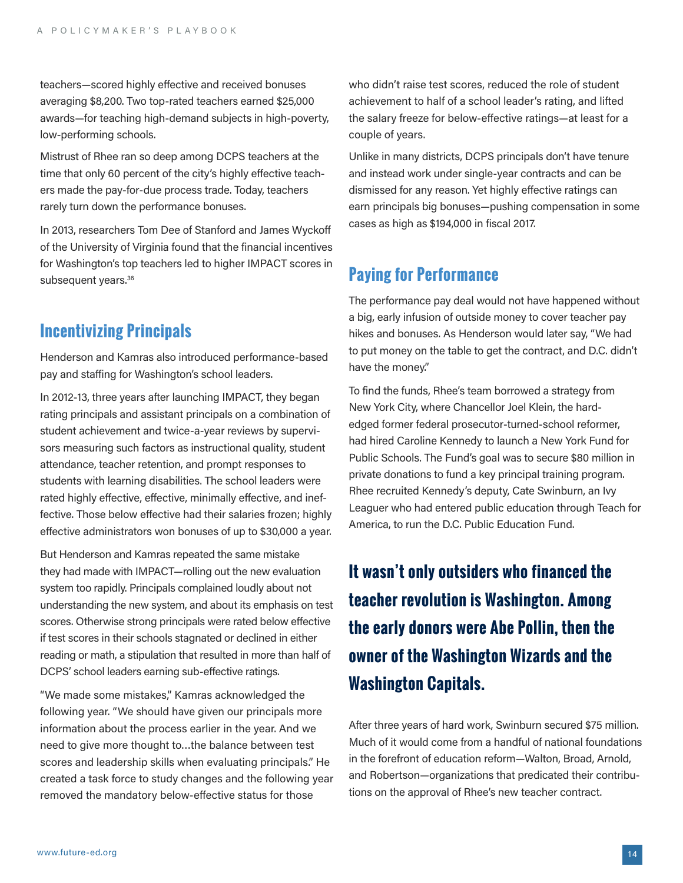teachers—scored highly effective and received bonuses averaging \$8,200. Two top-rated teachers earned \$25,000 awards—for teaching high-demand subjects in high-poverty, low-performing schools.

Mistrust of Rhee ran so deep among DCPS teachers at the time that only 60 percent of the city's highly effective teachers made the pay-for-due process trade. Today, teachers rarely turn down the performance bonuses.

In 2013, researchers Tom Dee of Stanford and James Wyckoff of the University of Virginia found that the financial incentives for Washington's top teachers led to higher IMPACT scores in subsequent years.<sup>36</sup>

## **Incentivizing Principals**

Henderson and Kamras also introduced performance-based pay and staffing for Washington's school leaders.

In 2012-13, three years after launching IMPACT, they began rating principals and assistant principals on a combination of student achievement and twice-a-year reviews by supervisors measuring such factors as instructional quality, student attendance, teacher retention, and prompt responses to students with learning disabilities. The school leaders were rated highly effective, effective, minimally effective, and ineffective. Those below effective had their salaries frozen; highly effective administrators won bonuses of up to \$30,000 a year.

But Henderson and Kamras repeated the same mistake they had made with IMPACT—rolling out the new evaluation system too rapidly. Principals complained loudly about not understanding the new system, and about its emphasis on test scores. Otherwise strong principals were rated below effective if test scores in their schools stagnated or declined in either reading or math, a stipulation that resulted in more than half of DCPS' school leaders earning sub-effective ratings.

"We made some mistakes," Kamras acknowledged the following year. "We should have given our principals more information about the process earlier in the year. And we need to give more thought to…the balance between test scores and leadership skills when evaluating principals." He created a task force to study changes and the following year removed the mandatory below-effective status for those

who didn't raise test scores, reduced the role of student achievement to half of a school leader's rating, and lifted the salary freeze for below-effective ratings—at least for a couple of years.

Unlike in many districts, DCPS principals don't have tenure and instead work under single-year contracts and can be dismissed for any reason. Yet highly effective ratings can earn principals big bonuses—pushing compensation in some cases as high as \$194,000 in fiscal 2017.

### **Paying for Performance**

The performance pay deal would not have happened without a big, early infusion of outside money to cover teacher pay hikes and bonuses. As Henderson would later say, "We had to put money on the table to get the contract, and D.C. didn't have the money."

To find the funds, Rhee's team borrowed a strategy from New York City, where Chancellor Joel Klein, the hardedged former federal prosecutor-turned-school reformer, had hired Caroline Kennedy to launch a New York Fund for Public Schools. The Fund's goal was to secure \$80 million in private donations to fund a key principal training program. Rhee recruited Kennedy's deputy, Cate Swinburn, an Ivy Leaguer who had entered public education through Teach for America, to run the D.C. Public Education Fund.

**It wasn't only outsiders who financed the teacher revolution is Washington. Among the early donors were Abe Pollin, then the owner of the Washington Wizards and the Washington Capitals.** 

After three years of hard work, Swinburn secured \$75 million. Much of it would come from a handful of national foundations in the forefront of education reform—Walton, Broad, Arnold, and Robertson—organizations that predicated their contributions on the approval of Rhee's new teacher contract.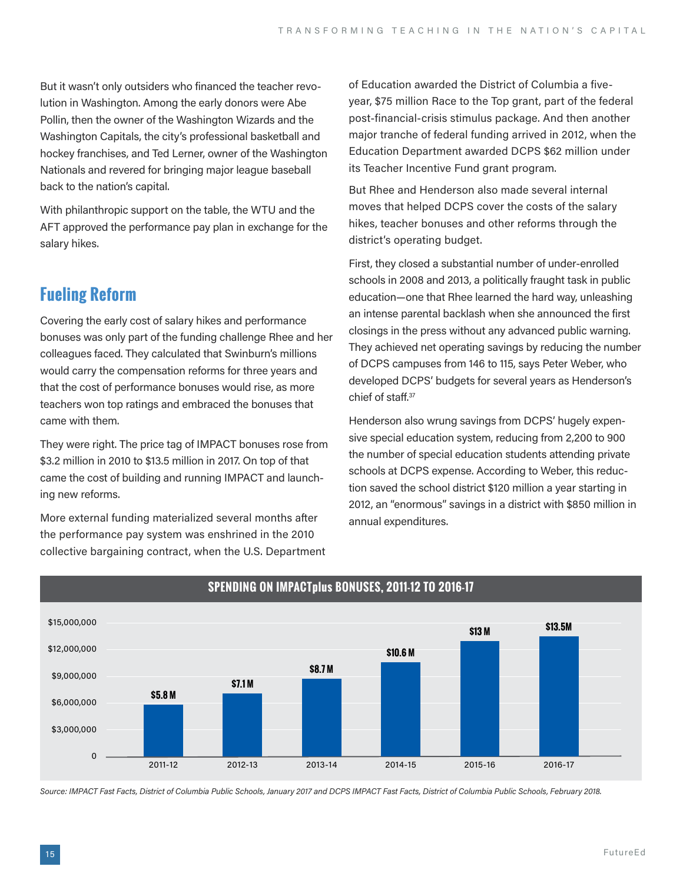But it wasn't only outsiders who financed the teacher revolution in Washington. Among the early donors were Abe Pollin, then the owner of the Washington Wizards and the Washington Capitals, the city's professional basketball and hockey franchises, and Ted Lerner, owner of the Washington Nationals and revered for bringing major league baseball back to the nation's capital.

With philanthropic support on the table, the WTU and the AFT approved the performance pay plan in exchange for the salary hikes.

## **Fueling Reform**

Covering the early cost of salary hikes and performance bonuses was only part of the funding challenge Rhee and her colleagues faced. They calculated that Swinburn's millions would carry the compensation reforms for three years and that the cost of performance bonuses would rise, as more teachers won top ratings and embraced the bonuses that came with them.

They were right. The price tag of IMPACT bonuses rose from \$3.2 million in 2010 to \$13.5 million in 2017. On top of that came the cost of building and running IMPACT and launching new reforms.

More external funding materialized several months after the performance pay system was enshrined in the 2010 collective bargaining contract, when the U.S. Department of Education awarded the District of Columbia a fiveyear, \$75 million Race to the Top grant, part of the federal post-financial-crisis stimulus package. And then another major tranche of federal funding arrived in 2012, when the Education Department awarded DCPS \$62 million under its Teacher Incentive Fund grant program.

But Rhee and Henderson also made several internal moves that helped DCPS cover the costs of the salary hikes, teacher bonuses and other reforms through the district's operating budget.

First, they closed a substantial number of under-enrolled schools in 2008 and 2013, a politically fraught task in public education—one that Rhee learned the hard way, unleashing an intense parental backlash when she announced the first closings in the press without any advanced public warning. They achieved net operating savings by reducing the number of DCPS campuses from 146 to 115, says Peter Weber, who developed DCPS' budgets for several years as Henderson's chief of staff.<sup>37</sup>

Henderson also wrung savings from DCPS' hugely expensive special education system, reducing from 2,200 to 900 the number of special education students attending private schools at DCPS expense. According to Weber, this reduction saved the school district \$120 million a year starting in 2012, an "enormous" savings in a district with \$850 million in annual expenditures.



*Source: IMPACT Fast Facts, District of Columbia Public Schools, January 2017 and DCPS IMPACT Fast Facts, District of Columbia Public Schools, February 2018.*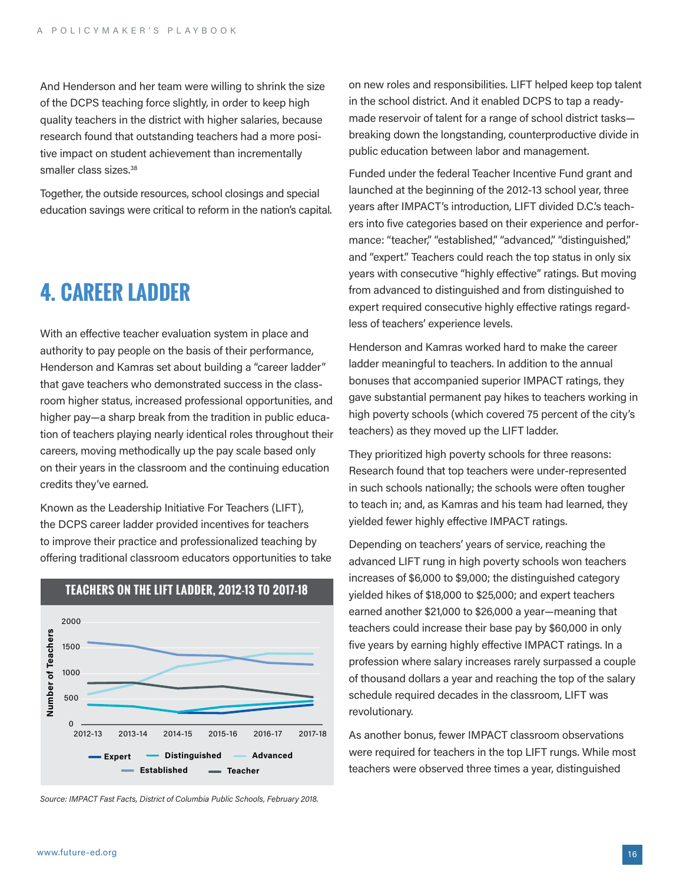<span id="page-19-0"></span>And Henderson and her team were willing to shrink the size of the DCPS teaching force slightly, in order to keep high quality teachers in the district with higher salaries, because research found that outstanding teachers had a more positive impact on student achievement than incrementally smaller class sizes.<sup>38</sup>

Together, the outside resources, school closings and special education savings were critical to reform in the nation's capital.

# **4. CAREER LADDER**

With an effective teacher evaluation system in place and authority to pay people on the basis of their performance, Henderson and Kamras set about building a "career ladder" that gave teachers who demonstrated success in the classroom higher status, increased professional opportunities, and higher pay—a sharp break from the tradition in public education of teachers playing nearly identical roles throughout their careers, moving methodically up the pay scale based only on their years in the classroom and the continuing education credits they've earned.

Known as the Leadership Initiative For Teachers (LIFT), the DCPS career ladder provided incentives for teachers to improve their practice and professionalized teaching by offering traditional classroom educators opportunities to take



## **TEACHERS ON THE LIFT LADDER, 2012-13 TO 2017-18**

on new roles and responsibilities. LIFT helped keep top talent in the school district. And it enabled DCPS to tap a readymade reservoir of talent for a range of school district tasks breaking down the longstanding, counterproductive divide in public education between labor and management.

Funded under the federal Teacher Incentive Fund grant and launched at the beginning of the 2012-13 school year, three years after IMPACT's introduction, LIFT divided D.C.'s teachers into five categories based on their experience and performance: "teacher," "established," "advanced," "distinguished," and "expert." Teachers could reach the top status in only six years with consecutive "highly effective" ratings. But moving from advanced to distinguished and from distinguished to expert required consecutive highly effective ratings regardless of teachers' experience levels.

Henderson and Kamras worked hard to make the career ladder meaningful to teachers. In addition to the annual bonuses that accompanied superior IMPACT ratings, they gave substantial permanent pay hikes to teachers working in high poverty schools (which covered 75 percent of the city's teachers) as they moved up the LIFT ladder.

They prioritized high poverty schools for three reasons: Research found that top teachers were under-represented in such schools nationally; the schools were often tougher to teach in; and, as Kamras and his team had learned, they yielded fewer highly effective IMPACT ratings.

Depending on teachers' years of service, reaching the advanced LIFT rung in high poverty schools won teachers increases of \$6,000 to \$9,000; the distinguished category yielded hikes of \$18,000 to \$25,000; and expert teachers earned another \$21,000 to \$26,000 a year—meaning that teachers could increase their base pay by \$60,000 in only five years by earning highly effective IMPACT ratings. In a profession where salary increases rarely surpassed a couple of thousand dollars a year and reaching the top of the salary schedule required decades in the classroom, LIFT was revolutionary.

As another bonus, fewer IMPACT classroom observations were required for teachers in the top LIFT rungs. While most teachers were observed three times a year, distinguished

*Source: IMPACT Fast Facts, District of Columbia Public Schools, February 2018.*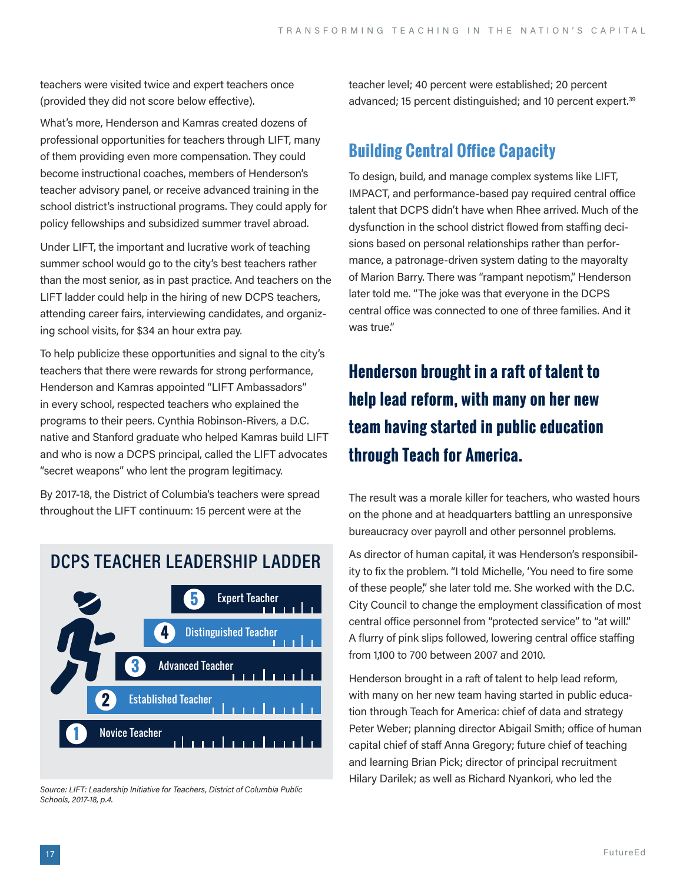teachers were visited twice and expert teachers once (provided they did not score below effective).

What's more, Henderson and Kamras created dozens of professional opportunities for teachers through LIFT, many of them providing even more compensation. They could become instructional coaches, members of Henderson's teacher advisory panel, or receive advanced training in the school district's instructional programs. They could apply for policy fellowships and subsidized summer travel abroad.

Under LIFT, the important and lucrative work of teaching summer school would go to the city's best teachers rather than the most senior, as in past practice. And teachers on the LIFT ladder could help in the hiring of new DCPS teachers, attending career fairs, interviewing candidates, and organizing school visits, for \$34 an hour extra pay.

To help publicize these opportunities and signal to the city's teachers that there were rewards for strong performance, Henderson and Kamras appointed "LIFT Ambassadors" in every school, respected teachers who explained the programs to their peers. Cynthia Robinson-Rivers, a D.C. native and Stanford graduate who helped Kamras build LIFT and who is now a DCPS principal, called the LIFT advocates "secret weapons" who lent the program legitimacy.

By 2017-18, the District of Columbia's teachers were spread throughout the LIFT continuum: 15 percent were at the

### **DCPS TEACHER LEADERSHIP LADDER**



*Source: LIFT: Leadership Initiative for Teachers, District of Columbia Public Schools, 2017-18, p.4.*

teacher level; 40 percent were established; 20 percent advanced; 15 percent distinguished; and 10 percent expert.<sup>39</sup>

# **Building Central Office Capacity**

To design, build, and manage complex systems like LIFT, IMPACT, and performance-based pay required central office talent that DCPS didn't have when Rhee arrived. Much of the dysfunction in the school district flowed from staffing decisions based on personal relationships rather than performance, a patronage-driven system dating to the mayoralty of Marion Barry. There was "rampant nepotism," Henderson later told me. "The joke was that everyone in the DCPS central office was connected to one of three families. And it was true."

# **Henderson brought in a raft of talent to help lead reform, with many on her new team having started in public education through Teach for America.**

The result was a morale killer for teachers, who wasted hours on the phone and at headquarters battling an unresponsive bureaucracy over payroll and other personnel problems.

As director of human capital, it was Henderson's responsibility to fix the problem. "I told Michelle, 'You need to fire some of these people," she later told me. She worked with the D.C. City Council to change the employment classification of most central office personnel from "protected service" to "at will." A flurry of pink slips followed, lowering central office staffing from 1,100 to 700 between 2007 and 2010.

Henderson brought in a raft of talent to help lead reform, with many on her new team having started in public education through Teach for America: chief of data and strategy Peter Weber; planning director Abigail Smith; office of human capital chief of staff Anna Gregory; future chief of teaching and learning Brian Pick; director of principal recruitment Hilary Darilek; as well as Richard Nyankori, who led the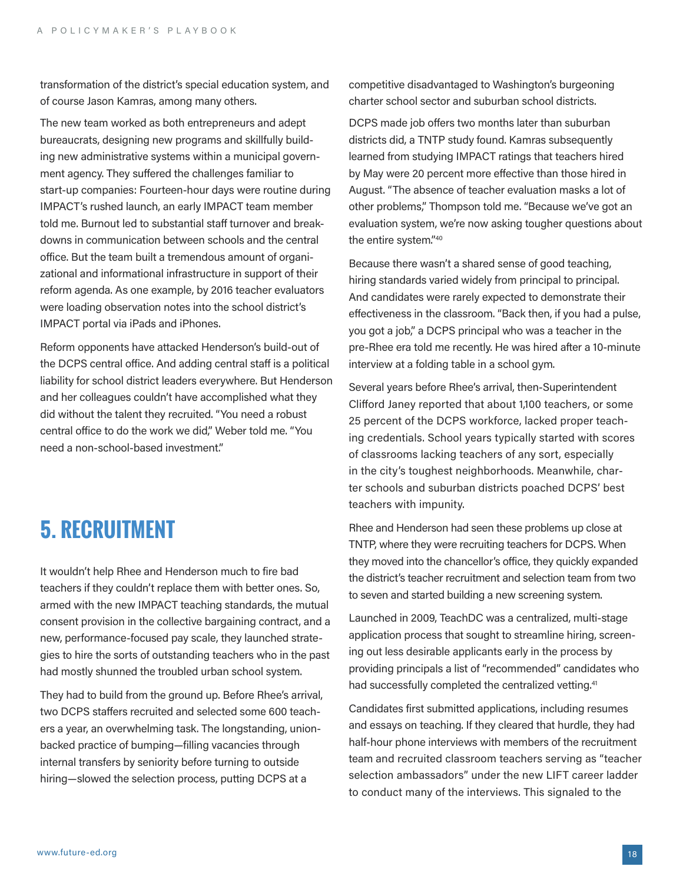<span id="page-21-0"></span>transformation of the district's special education system, and of course Jason Kamras, among many others.

The new team worked as both entrepreneurs and adept bureaucrats, designing new programs and skillfully building new administrative systems within a municipal government agency. They suffered the challenges familiar to start-up companies: Fourteen-hour days were routine during IMPACT's rushed launch, an early IMPACT team member told me. Burnout led to substantial staff turnover and breakdowns in communication between schools and the central office. But the team built a tremendous amount of organizational and informational infrastructure in support of their reform agenda. As one example, by 2016 teacher evaluators were loading observation notes into the school district's IMPACT portal via iPads and iPhones.

Reform opponents have attacked Henderson's build-out of the DCPS central office. And adding central staff is a political liability for school district leaders everywhere. But Henderson and her colleagues couldn't have accomplished what they did without the talent they recruited. "You need a robust central office to do the work we did," Weber told me. "You need a non-school-based investment."

**5. RECRUITMENT**

It wouldn't help Rhee and Henderson much to fire bad teachers if they couldn't replace them with better ones. So, armed with the new IMPACT teaching standards, the mutual consent provision in the collective bargaining contract, and a new, performance-focused pay scale, they launched strategies to hire the sorts of outstanding teachers who in the past had mostly shunned the troubled urban school system.

They had to build from the ground up. Before Rhee's arrival, two DCPS staffers recruited and selected some 600 teachers a year, an overwhelming task. The longstanding, unionbacked practice of bumping—filling vacancies through internal transfers by seniority before turning to outside hiring—slowed the selection process, putting DCPS at a

competitive disadvantaged to Washington's burgeoning charter school sector and suburban school districts.

DCPS made job offers two months later than suburban districts did, a TNTP study found. Kamras subsequently learned from studying IMPACT ratings that teachers hired by May were 20 percent more effective than those hired in August. "The absence of teacher evaluation masks a lot of other problems," Thompson told me. "Because we've got an evaluation system, we're now asking tougher questions about the entire system."<sup>40</sup>

Because there wasn't a shared sense of good teaching, hiring standards varied widely from principal to principal. And candidates were rarely expected to demonstrate their effectiveness in the classroom. "Back then, if you had a pulse, you got a job," a DCPS principal who was a teacher in the pre-Rhee era told me recently. He was hired after a 10-minute interview at a folding table in a school gym.

Several years before Rhee's arrival, then-Superintendent Clifford Janey reported that about 1,100 teachers, or some 25 percent of the DCPS workforce, lacked proper teaching credentials. School years typically started with scores of classrooms lacking teachers of any sort, especially in the city's toughest neighborhoods. Meanwhile, charter schools and suburban districts poached DCPS' best teachers with impunity.

Rhee and Henderson had seen these problems up close at TNTP, where they were recruiting teachers for DCPS. When they moved into the chancellor's office, they quickly expanded the district's teacher recruitment and selection team from two to seven and started building a new screening system.

Launched in 2009, TeachDC was a centralized, multi-stage application process that sought to streamline hiring, screening out less desirable applicants early in the process by providing principals a list of "recommended" candidates who had successfully completed the centralized vetting.<sup>41</sup>

Candidates first submitted applications, including resumes and essays on teaching. If they cleared that hurdle, they had half-hour phone interviews with members of the recruitment team and recruited classroom teachers serving as "teacher selection ambassadors" under the new LIFT career ladder to conduct many of the interviews. This signaled to the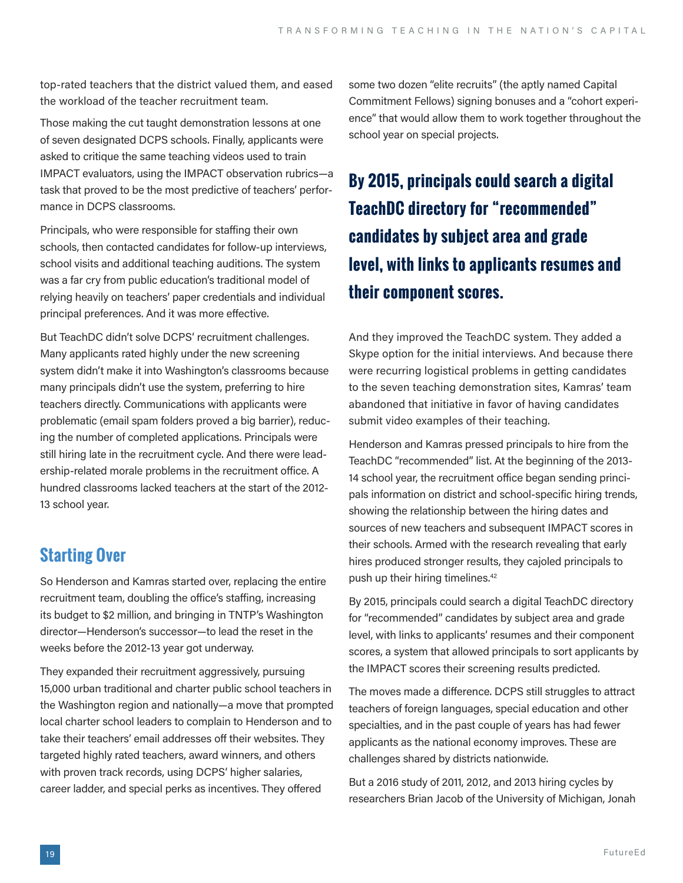top-rated teachers that the district valued them, and eased the workload of the teacher recruitment team.

Those making the cut taught demonstration lessons at one of seven designated DCPS schools. Finally, applicants were asked to critique the same teaching videos used to train IMPACT evaluators, using the IMPACT observation rubrics—a task that proved to be the most predictive of teachers' performance in DCPS classrooms.

Principals, who were responsible for staffing their own schools, then contacted candidates for follow-up interviews, school visits and additional teaching auditions. The system was a far cry from public education's traditional model of relying heavily on teachers' paper credentials and individual principal preferences. And it was more effective.

But TeachDC didn't solve DCPS' recruitment challenges. Many applicants rated highly under the new screening system didn't make it into Washington's classrooms because many principals didn't use the system, preferring to hire teachers directly. Communications with applicants were problematic (email spam folders proved a big barrier), reducing the number of completed applications. Principals were still hiring late in the recruitment cycle. And there were leadership-related morale problems in the recruitment office. A hundred classrooms lacked teachers at the start of the 2012- 13 school year.

# **Starting Over**

So Henderson and Kamras started over, replacing the entire recruitment team, doubling the office's staffing, increasing its budget to \$2 million, and bringing in TNTP's Washington director—Henderson's successor—to lead the reset in the weeks before the 2012-13 year got underway.

They expanded their recruitment aggressively, pursuing 15,000 urban traditional and charter public school teachers in the Washington region and nationally—a move that prompted local charter school leaders to complain to Henderson and to take their teachers' email addresses off their websites. They targeted highly rated teachers, award winners, and others with proven track records, using DCPS' higher salaries, career ladder, and special perks as incentives. They offered

some two dozen "elite recruits" (the aptly named Capital Commitment Fellows) signing bonuses and a "cohort experience" that would allow them to work together throughout the school year on special projects.

# **By 2015, principals could search a digital TeachDC directory for "recommended" candidates by subject area and grade level, with links to applicants resumes and their component scores.**

And they improved the TeachDC system. They added a Skype option for the initial interviews. And because there were recurring logistical problems in getting candidates to the seven teaching demonstration sites, Kamras' team abandoned that initiative in favor of having candidates submit video examples of their teaching.

Henderson and Kamras pressed principals to hire from the TeachDC "recommended" list. At the beginning of the 2013- 14 school year, the recruitment office began sending principals information on district and school-specific hiring trends, showing the relationship between the hiring dates and sources of new teachers and subsequent IMPACT scores in their schools. Armed with the research revealing that early hires produced stronger results, they cajoled principals to push up their hiring timelines.<sup>42</sup>

By 2015, principals could search a digital TeachDC directory for "recommended" candidates by subject area and grade level, with links to applicants' resumes and their component scores, a system that allowed principals to sort applicants by the IMPACT scores their screening results predicted.

The moves made a difference. DCPS still struggles to attract teachers of foreign languages, special education and other specialties, and in the past couple of years has had fewer applicants as the national economy improves. These are challenges shared by districts nationwide.

But a 2016 study of 2011, 2012, and 2013 hiring cycles by researchers Brian Jacob of the University of Michigan, Jonah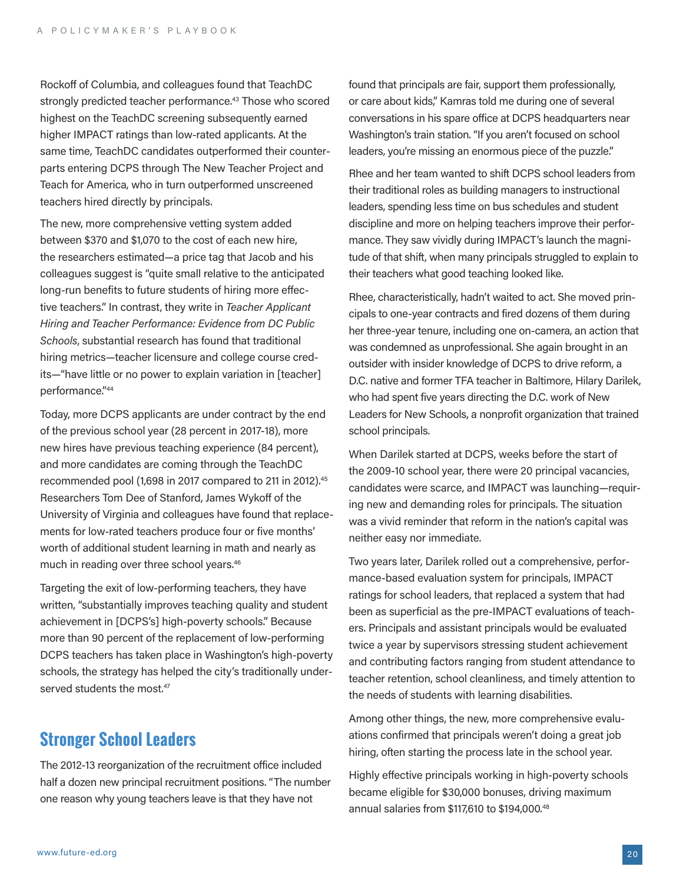Rockoff of Columbia, and colleagues found that TeachDC strongly predicted teacher performance.<sup>43</sup> Those who scored highest on the TeachDC screening subsequently earned higher IMPACT ratings than low-rated applicants. At the same time, TeachDC candidates outperformed their counterparts entering DCPS through The New Teacher Project and Teach for America, who in turn outperformed unscreened teachers hired directly by principals.

The new, more comprehensive vetting system added between \$370 and \$1,070 to the cost of each new hire, the researchers estimated—a price tag that Jacob and his colleagues suggest is "quite small relative to the anticipated long-run benefits to future students of hiring more effective teachers." In contrast, they write in *[Teacher Applicant](http://www.nber.org/papers/w22054)  [Hiring and Teacher Performance: Evidence from DC Public](http://www.nber.org/papers/w22054)  [Schools](http://www.nber.org/papers/w22054)*, substantial research has found that traditional hiring metrics—teacher licensure and college course credits—"have little or no power to explain variation in [teacher] performance."<sup>44</sup>

Today, more DCPS applicants are under contract by the end of the previous school year (28 percent in 2017-18), more new hires have previous teaching experience (84 percent), and more candidates are coming through the TeachDC recommended pool (1,698 in 2017 compared to 211 in 2012).<sup>45</sup> Researchers Tom Dee of Stanford, James Wykoff of the University of Virginia and colleagues have found that replacements for low-rated teachers produce four or five months' worth of additional student learning in math and nearly as much in reading over three school years.<sup>46</sup>

Targeting the exit of low-performing teachers, they have written, "substantially improves teaching quality and student achievement in [DCPS's] high-poverty schools." Because more than 90 percent of the replacement of low-performing DCPS teachers has taken place in Washington's high-poverty schools, the strategy has helped the city's traditionally underserved students the most.<sup>47</sup>

### **Stronger School Leaders**

The 2012-13 reorganization of the recruitment office included half a dozen new principal recruitment positions. "The number one reason why young teachers leave is that they have not

found that principals are fair, support them professionally, or care about kids," Kamras told me during one of several conversations in his spare office at DCPS headquarters near Washington's train station. "If you aren't focused on school leaders, you're missing an enormous piece of the puzzle."

Rhee and her team wanted to shift DCPS school leaders from their traditional roles as building managers to instructional leaders, spending less time on bus schedules and student discipline and more on helping teachers improve their performance. They saw vividly during IMPACT's launch the magnitude of that shift, when many principals struggled to explain to their teachers what good teaching looked like.

Rhee, characteristically, hadn't waited to act. She moved principals to one-year contracts and fired dozens of them during her three-year tenure, including one on-camera, an action that was condemned as unprofessional. She again brought in an outsider with insider knowledge of DCPS to drive reform, a D.C. native and former TFA teacher in Baltimore, Hilary Darilek, who had spent five years directing the D.C. work of New Leaders for New Schools, a nonprofit organization that trained school principals.

When Darilek started at DCPS, weeks before the start of the 2009-10 school year, there were 20 principal vacancies, candidates were scarce, and IMPACT was launching—requiring new and demanding roles for principals. The situation was a vivid reminder that reform in the nation's capital was neither easy nor immediate.

Two years later, Darilek rolled out a comprehensive, performance-based evaluation system for principals, IMPACT ratings for school leaders, that replaced a system that had been as superficial as the pre-IMPACT evaluations of teachers. Principals and assistant principals would be evaluated twice a year by supervisors stressing student achievement and contributing factors ranging from student attendance to teacher retention, school cleanliness, and timely attention to the needs of students with learning disabilities.

Among other things, the new, more comprehensive evaluations confirmed that principals weren't doing a great job hiring, often starting the process late in the school year.

Highly effective principals working in high-poverty schools became eligible for \$30,000 bonuses, driving maximum annual salaries from \$117,610 to \$194,000.<sup>48</sup>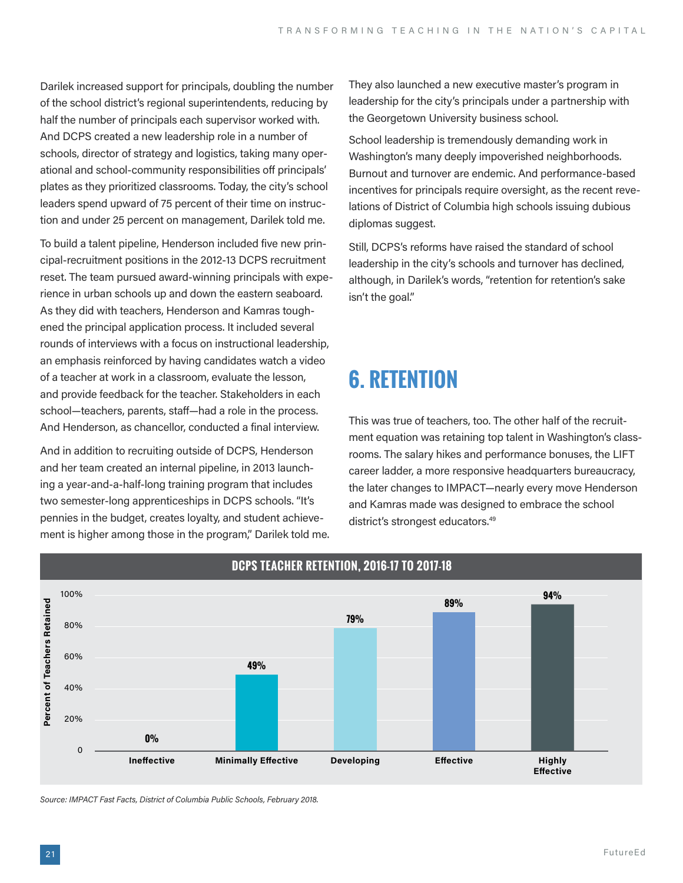<span id="page-24-0"></span>Darilek increased support for principals, doubling the number of the school district's regional superintendents, reducing by half the number of principals each supervisor worked with. And DCPS created a new leadership role in a number of schools, director of strategy and logistics, taking many operational and school-community responsibilities off principals' plates as they prioritized classrooms. Today, the city's school leaders spend upward of 75 percent of their time on instruction and under 25 percent on management, Darilek told me.

To build a talent pipeline, Henderson included five new principal-recruitment positions in the 2012-13 DCPS recruitment reset. The team pursued award-winning principals with experience in urban schools up and down the eastern seaboard. As they did with teachers, Henderson and Kamras toughened the principal application process. It included several rounds of interviews with a focus on instructional leadership, an emphasis reinforced by having candidates watch a video of a teacher at work in a classroom, evaluate the lesson, and provide feedback for the teacher. Stakeholders in each school—teachers, parents, staff—had a role in the process. And Henderson, as chancellor, conducted a final interview.

And in addition to recruiting outside of DCPS, Henderson and her team created an internal pipeline, in 2013 launching a year-and-a-half-long training program that includes two semester-long apprenticeships in DCPS schools. "It's pennies in the budget, creates loyalty, and student achievement is higher among those in the program," Darilek told me. They also launched a new executive master's program in leadership for the city's principals under a partnership with the Georgetown University business school.

School leadership is tremendously demanding work in Washington's many deeply impoverished neighborhoods. Burnout and turnover are endemic. And performance-based incentives for principals require oversight, as the recent revelations of District of Columbia high schools issuing dubious diplomas suggest.

Still, DCPS's reforms have raised the standard of school leadership in the city's schools and turnover has declined, although, in Darilek's words, "retention for retention's sake isn't the goal."

# **6. RETENTION**

This was true of teachers, too. The other half of the recruitment equation was retaining top talent in Washington's classrooms. The salary hikes and performance bonuses, the LIFT career ladder, a more responsive headquarters bureaucracy, the later changes to IMPACT—nearly every move Henderson and Kamras made was designed to embrace the school district's strongest educators.<sup>49</sup>



#### **DCPS TEACHER RETENTION, 2016-17 TO 2017-18**

*Source: IMPACT Fast Facts, District of Columbia Public Schools, February 2018.*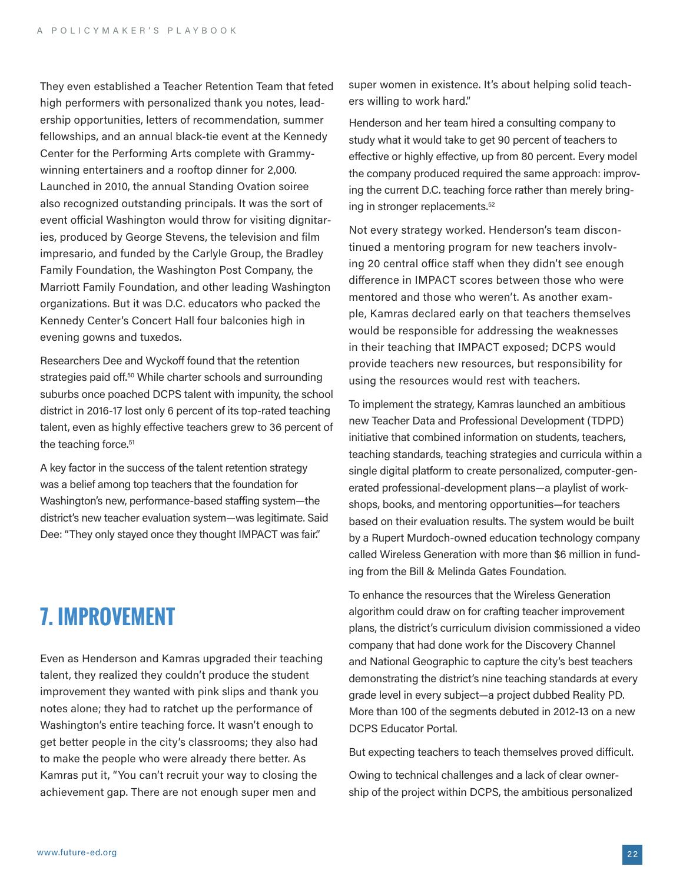<span id="page-25-0"></span>They even established a Teacher Retention Team that feted high performers with personalized thank you notes, leadership opportunities, letters of recommendation, summer fellowships, and an annual black-tie event at the Kennedy Center for the Performing Arts complete with Grammywinning entertainers and a rooftop dinner for 2,000. Launched in 2010, the annual Standing Ovation soiree also recognized outstanding principals. It was the sort of event official Washington would throw for visiting dignitaries, produced by George Stevens, the television and film impresario, and funded by the Carlyle Group, the Bradley Family Foundation, the Washington Post Company, the Marriott Family Foundation, and other leading Washington organizations. But it was D.C. educators who packed the Kennedy Center's Concert Hall four balconies high in evening gowns and tuxedos.

Researchers Dee and Wyckoff found that the retention strategies paid off.<sup>50</sup> While charter schools and surrounding suburbs once poached DCPS talent with impunity, the school district in 2016-17 lost only 6 percent of its top-rated teaching talent, even as highly effective teachers grew to 36 percent of the teaching force.<sup>51</sup>

A key factor in the success of the talent retention strategy was a belief among top teachers that the foundation for Washington's new, performance-based staffing system—the district's new teacher evaluation system—was legitimate. Said Dee: "They only stayed once they thought IMPACT was fair."

# **7. IMPROVEMENT**

Even as Henderson and Kamras upgraded their teaching talent, they realized they couldn't produce the student improvement they wanted with pink slips and thank you notes alone; they had to ratchet up the performance of Washington's entire teaching force. It wasn't enough to get better people in the city's classrooms; they also had to make the people who were already there better. As Kamras put it, "You can't recruit your way to closing the achievement gap. There are not enough super men and

super women in existence. It's about helping solid teachers willing to work hard."

Henderson and her team hired a consulting company to study what it would take to get 90 percent of teachers to effective or highly effective, up from 80 percent. Every model the company produced required the same approach: improving the current D.C. teaching force rather than merely bringing in stronger replacements.<sup>52</sup>

Not every strategy worked. Henderson's team discontinued a mentoring program for new teachers involving 20 central office staff when they didn't see enough difference in IMPACT scores between those who were mentored and those who weren't. As another example, Kamras declared early on that teachers themselves would be responsible for addressing the weaknesses in their teaching that IMPACT exposed; DCPS would provide teachers new resources, but responsibility for using the resources would rest with teachers.

To implement the strategy, Kamras launched an ambitious new Teacher Data and Professional Development (TDPD) initiative that combined information on students, teachers, teaching standards, teaching strategies and curricula within a single digital platform to create personalized, computer-generated professional-development plans—a playlist of workshops, books, and mentoring opportunities—for teachers based on their evaluation results. The system would be built by a Rupert Murdoch-owned education technology company called Wireless Generation with more than \$6 million in funding from the Bill & Melinda Gates Foundation.

To enhance the resources that the Wireless Generation algorithm could draw on for crafting teacher improvement plans, the district's curriculum division commissioned a video company that had done work for the Discovery Channel and National Geographic to capture the city's best teachers demonstrating the district's nine teaching standards at every grade level in every subject—a project dubbed Reality PD. More than 100 of the segments debuted in 2012-13 on a new DCPS Educator Portal.

But expecting teachers to teach themselves proved difficult.

Owing to technical challenges and a lack of clear ownership of the project within DCPS, the ambitious personalized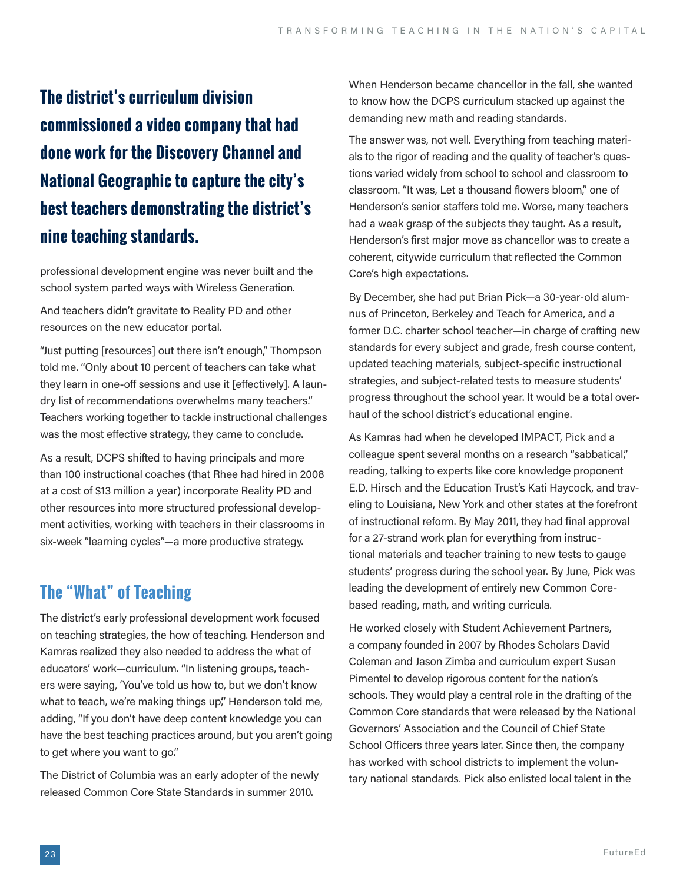# **The district's curriculum division commissioned a video company that had done work for the Discovery Channel and National Geographic to capture the city's best teachers demonstrating the district's nine teaching standards.**

professional development engine was never built and the school system parted ways with Wireless Generation.

And teachers didn't gravitate to Reality PD and other resources on the new educator portal.

"Just putting [resources] out there isn't enough," Thompson told me. "Only about 10 percent of teachers can take what they learn in one-off sessions and use it [effectively]. A laundry list of recommendations overwhelms many teachers." Teachers working together to tackle instructional challenges was the most effective strategy, they came to conclude.

As a result, DCPS shifted to having principals and more than 100 instructional coaches (that Rhee had hired in 2008 at a cost of \$13 million a year) incorporate Reality PD and other resources into more structured professional development activities, working with teachers in their classrooms in six-week "learning cycles"—a more productive strategy.

# **The "What" of Teaching**

The district's early professional development work focused on teaching strategies, the how of teaching. Henderson and Kamras realized they also needed to address the what of educators' work—curriculum. "In listening groups, teachers were saying, 'You've told us how to, but we don't know what to teach, we're making things up," Henderson told me, adding, "If you don't have deep content knowledge you can have the best teaching practices around, but you aren't going to get where you want to go."

The District of Columbia was an early adopter of the newly released Common Core State Standards in summer 2010.

When Henderson became chancellor in the fall, she wanted to know how the DCPS curriculum stacked up against the demanding new math and reading standards.

The answer was, not well. Everything from teaching materials to the rigor of reading and the quality of teacher's questions varied widely from school to school and classroom to classroom. "It was, Let a thousand flowers bloom," one of Henderson's senior staffers told me. Worse, many teachers had a weak grasp of the subjects they taught. As a result, Henderson's first major move as chancellor was to create a coherent, citywide curriculum that reflected the Common Core's high expectations.

By December, she had put Brian Pick—a 30-year-old alumnus of Princeton, Berkeley and Teach for America, and a former D.C. charter school teacher—in charge of crafting new standards for every subject and grade, fresh course content, updated teaching materials, subject-specific instructional strategies, and subject-related tests to measure students' progress throughout the school year. It would be a total overhaul of the school district's educational engine.

As Kamras had when he developed IMPACT, Pick and a colleague spent several months on a research "sabbatical," reading, talking to experts like core knowledge proponent E.D. Hirsch and the Education Trust's Kati Haycock, and traveling to Louisiana, New York and other states at the forefront of instructional reform. By May 2011, they had final approval for a 27-strand work plan for everything from instructional materials and teacher training to new tests to gauge students' progress during the school year. By June, Pick was leading the development of entirely new Common Corebased reading, math, and writing curricula.

He worked closely with Student Achievement Partners, a company founded in 2007 by Rhodes Scholars David Coleman and Jason Zimba and curriculum expert Susan Pimentel to develop rigorous content for the nation's schools. They would play a central role in the drafting of the Common Core standards that were released by the National Governors' Association and the Council of Chief State School Officers three years later. Since then, the company has worked with school districts to implement the voluntary national standards. Pick also enlisted local talent in the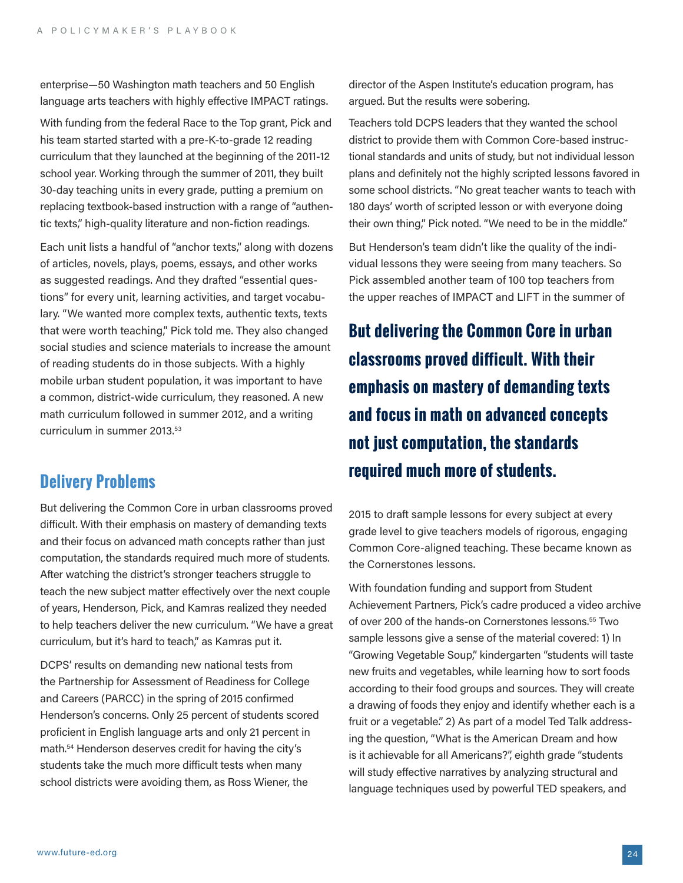enterprise—50 Washington math teachers and 50 English language arts teachers with highly effective IMPACT ratings.

With funding from the federal Race to the Top grant, Pick and his team started started with a pre-K-to-grade 12 reading curriculum that they launched at the beginning of the 2011-12 school year. Working through the summer of 2011, they built 30-day teaching units in every grade, putting a premium on replacing textbook-based instruction with a range of "authentic texts," high-quality literature and non-fiction readings.

Each unit lists a handful of "anchor texts," along with dozens of articles, novels, plays, poems, essays, and other works as suggested readings. And they drafted "essential questions" for every unit, learning activities, and target vocabulary. "We wanted more complex texts, authentic texts, texts that were worth teaching," Pick told me. They also changed social studies and science materials to increase the amount of reading students do in those subjects. With a highly mobile urban student population, it was important to have a common, district-wide curriculum, they reasoned. A new math curriculum followed in summer 2012, and a writing curriculum in summer 2013.<sup>53</sup>

## **Delivery Problems**

But delivering the Common Core in urban classrooms proved difficult. With their emphasis on mastery of demanding texts and their focus on advanced math concepts rather than just computation, the standards required much more of students. After watching the district's stronger teachers struggle to teach the new subject matter effectively over the next couple of years, Henderson, Pick, and Kamras realized they needed to help teachers deliver the new curriculum. "We have a great curriculum, but it's hard to teach," as Kamras put it.

DCPS' results on demanding new national tests from the Partnership for Assessment of Readiness for College and Careers (PARCC) in the spring of 2015 confirmed Henderson's concerns. Only 25 percent of students scored proficient in English language arts and only 21 percent in math.<sup>54</sup> Henderson deserves credit for having the city's students take the much more difficult tests when many school districts were avoiding them, as Ross Wiener, the

director of the Aspen Institute's education program, has argued. But the results were sobering.

Teachers told DCPS leaders that they wanted the school district to provide them with Common Core-based instructional standards and units of study, but not individual lesson plans and definitely not the highly scripted lessons favored in some school districts. "No great teacher wants to teach with 180 days' worth of scripted lesson or with everyone doing their own thing," Pick noted. "We need to be in the middle."

But Henderson's team didn't like the quality of the individual lessons they were seeing from many teachers. So Pick assembled another team of 100 top teachers from the upper reaches of IMPACT and LIFT in the summer of

**But delivering the Common Core in urban classrooms proved difficult. With their emphasis on mastery of demanding texts and focus in math on advanced concepts not just computation, the standards required much more of students.** 

2015 to draft sample lessons for every subject at every grade level to give teachers models of rigorous, engaging Common Core-aligned teaching. These became known as the Cornerstones lessons.

With foundation funding and support from Student Achievement Partners, Pick's cadre produced a video archive of over 200 of the hands-on Cornerstones lessons.<sup>55</sup> Two sample lessons give a sense of the material covered: 1) In "Growing Vegetable Soup," kindergarten "students will taste new fruits and vegetables, while learning how to sort foods according to their food groups and sources. They will create a drawing of foods they enjoy and identify whether each is a fruit or a vegetable." 2) As part of a model Ted Talk addressing the question, "What is the American Dream and how is it achievable for all Americans?", eighth grade "students will study effective narratives by analyzing structural and language techniques used by powerful TED speakers, and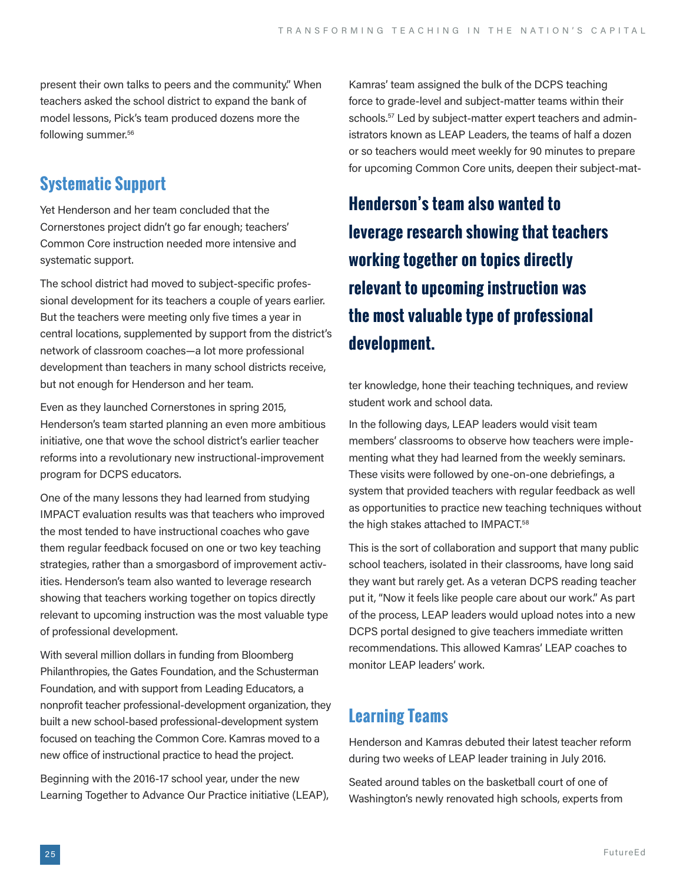present their own talks to peers and the community." When teachers asked the school district to expand the bank of model lessons, Pick's team produced dozens more the following summer.<sup>56</sup>

# **Systematic Support**

Yet Henderson and her team concluded that the Cornerstones project didn't go far enough; teachers' Common Core instruction needed more intensive and systematic support.

The school district had moved to subject-specific professional development for its teachers a couple of years earlier. But the teachers were meeting only five times a year in central locations, supplemented by support from the district's network of classroom coaches—a lot more professional development than teachers in many school districts receive, but not enough for Henderson and her team.

Even as they launched Cornerstones in spring 2015, Henderson's team started planning an even more ambitious initiative, one that wove the school district's earlier teacher reforms into a revolutionary new instructional-improvement program for DCPS educators.

One of the many lessons they had learned from studying IMPACT evaluation results was that teachers who improved the most tended to have instructional coaches who gave them regular feedback focused on one or two key teaching strategies, rather than a smorgasbord of improvement activities. Henderson's team also wanted to leverage research showing that teachers working together on topics directly relevant to upcoming instruction was the most valuable type of professional development.

With several million dollars in funding from Bloomberg Philanthropies, the Gates Foundation, and the Schusterman Foundation, and with support from Leading Educators, a nonprofit teacher professional-development organization, they built a new school-based professional-development system focused on teaching the Common Core. Kamras moved to a new office of instructional practice to head the project.

Beginning with the 2016-17 school year, under the new Learning Together to Advance Our Practice initiative (LEAP), Kamras' team assigned the bulk of the DCPS teaching force to grade-level and subject-matter teams within their schools.<sup>57</sup> Led by subject-matter expert teachers and administrators known as LEAP Leaders, the teams of half a dozen or so teachers would meet weekly for 90 minutes to prepare for upcoming Common Core units, deepen their subject-mat-

**Henderson's team also wanted to leverage research showing that teachers working together on topics directly relevant to upcoming instruction was the most valuable type of professional development.**

ter knowledge, hone their teaching techniques, and review student work and school data.

In the following days, LEAP leaders would visit team members' classrooms to observe how teachers were implementing what they had learned from the weekly seminars. These visits were followed by one-on-one debriefings, a system that provided teachers with regular feedback as well as opportunities to practice new teaching techniques without the high stakes attached to IMPACT.<sup>58</sup>

This is the sort of collaboration and support that many public school teachers, isolated in their classrooms, have long said they want but rarely get. As a veteran DCPS reading teacher put it, "Now it feels like people care about our work." As part of the process, LEAP leaders would upload notes into a new DCPS portal designed to give teachers immediate written recommendations. This allowed Kamras' LEAP coaches to monitor LEAP leaders' work.

### **Learning Teams**

Henderson and Kamras debuted their latest teacher reform during two weeks of LEAP leader training in July 2016.

Seated around tables on the basketball court of one of Washington's newly renovated high schools, experts from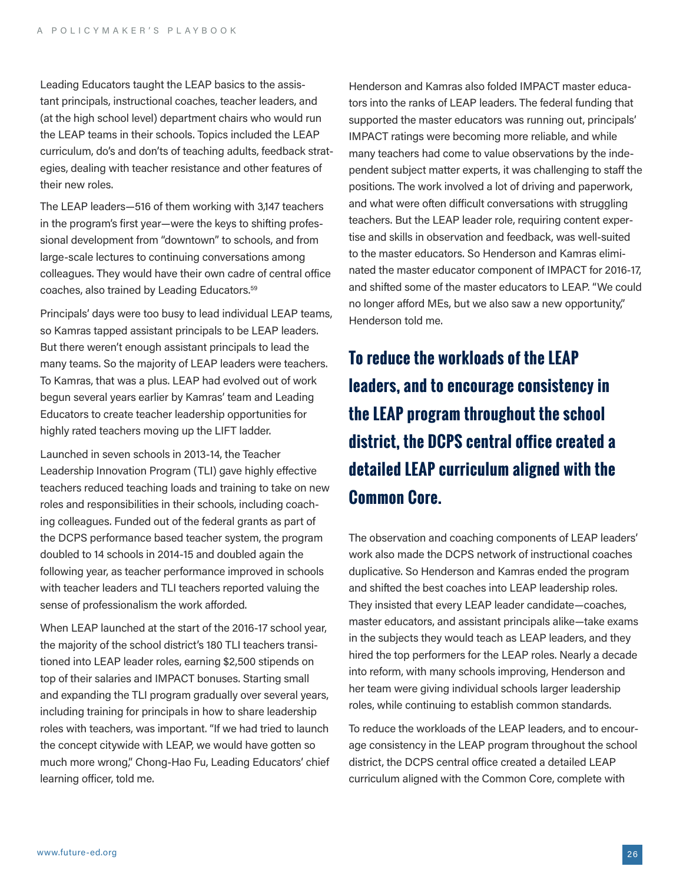Leading Educators taught the LEAP basics to the assistant principals, instructional coaches, teacher leaders, and (at the high school level) department chairs who would run the LEAP teams in their schools. Topics included the LEAP curriculum, do's and don'ts of teaching adults, feedback strategies, dealing with teacher resistance and other features of their new roles.

The LEAP leaders—516 of them working with 3,147 teachers in the program's first year—were the keys to shifting professional development from "downtown" to schools, and from large-scale lectures to continuing conversations among colleagues. They would have their own cadre of central office coaches, also trained by Leading Educators.<sup>59</sup>

Principals' days were too busy to lead individual LEAP teams, so Kamras tapped assistant principals to be LEAP leaders. But there weren't enough assistant principals to lead the many teams. So the majority of LEAP leaders were teachers. To Kamras, that was a plus. LEAP had evolved out of work begun several years earlier by Kamras' team and Leading Educators to create teacher leadership opportunities for highly rated teachers moving up the LIFT ladder.

Launched in seven schools in 2013-14, the Teacher Leadership Innovation Program (TLI) gave highly effective teachers reduced teaching loads and training to take on new roles and responsibilities in their schools, including coaching colleagues. Funded out of the federal grants as part of the DCPS performance based teacher system, the program doubled to 14 schools in 2014-15 and doubled again the following year, as teacher performance improved in schools with teacher leaders and TLI teachers reported valuing the sense of professionalism the work afforded.

When LEAP launched at the start of the 2016-17 school year, the majority of the school district's 180 TLI teachers transitioned into LEAP leader roles, earning \$2,500 stipends on top of their salaries and IMPACT bonuses. Starting small and expanding the TLI program gradually over several years, including training for principals in how to share leadership roles with teachers, was important. "If we had tried to launch the concept citywide with LEAP, we would have gotten so much more wrong," Chong-Hao Fu, Leading Educators' chief learning officer, told me.

Henderson and Kamras also folded IMPACT master educators into the ranks of LEAP leaders. The federal funding that supported the master educators was running out, principals' IMPACT ratings were becoming more reliable, and while many teachers had come to value observations by the independent subject matter experts, it was challenging to staff the positions. The work involved a lot of driving and paperwork, and what were often difficult conversations with struggling teachers. But the LEAP leader role, requiring content expertise and skills in observation and feedback, was well-suited to the master educators. So Henderson and Kamras eliminated the master educator component of IMPACT for 2016-17, and shifted some of the master educators to LEAP. "We could no longer afford MEs, but we also saw a new opportunity," Henderson told me.

# **To reduce the workloads of the LEAP leaders, and to encourage consistency in the LEAP program throughout the school district, the DCPS central office created a detailed LEAP curriculum aligned with the Common Core.**

The observation and coaching components of LEAP leaders' work also made the DCPS network of instructional coaches duplicative. So Henderson and Kamras ended the program and shifted the best coaches into LEAP leadership roles. They insisted that every LEAP leader candidate—coaches, master educators, and assistant principals alike—take exams in the subjects they would teach as LEAP leaders, and they hired the top performers for the LEAP roles. Nearly a decade into reform, with many schools improving, Henderson and her team were giving individual schools larger leadership roles, while continuing to establish common standards.

To reduce the workloads of the LEAP leaders, and to encourage consistency in the LEAP program throughout the school district, the DCPS central office created a detailed LEAP curriculum aligned with the Common Core, complete with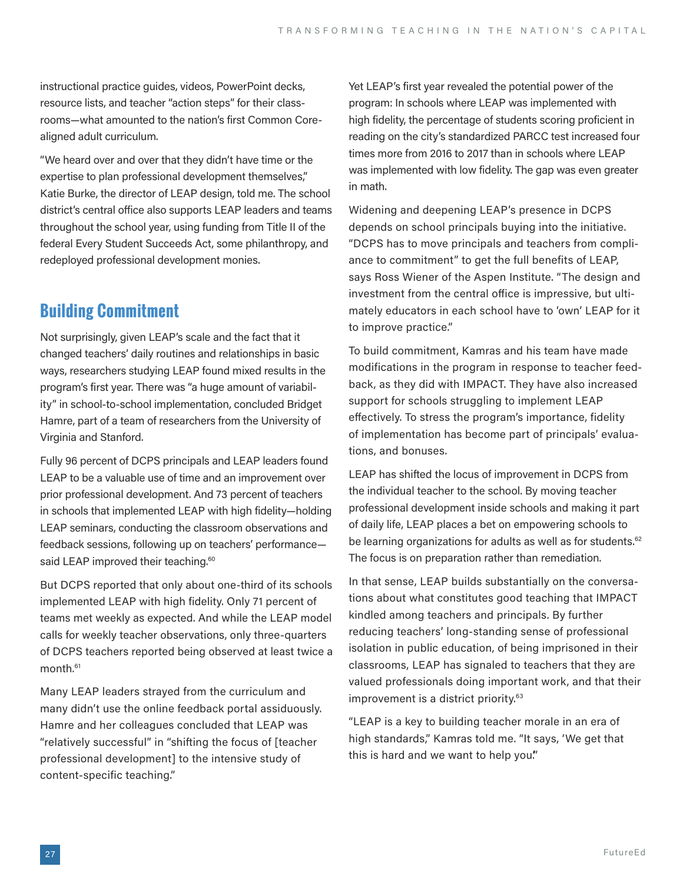instructional practice guides, videos, PowerPoint decks, resource lists, and teacher "action steps" for their classrooms—what amounted to the nation's first Common Corealigned adult curriculum.

"We heard over and over that they didn't have time or the expertise to plan professional development themselves," Katie Burke, the director of LEAP design, told me. The school district's central office also supports LEAP leaders and teams throughout the school year, using funding from Title II of the federal Every Student Succeeds Act, some philanthropy, and redeployed professional development monies.

## **Building Commitment**

Not surprisingly, given LEAP's scale and the fact that it changed teachers' daily routines and relationships in basic ways, researchers studying LEAP found mixed results in the program's first year. There was "a huge amount of variability" in school-to-school implementation, concluded Bridget Hamre, part of a team of researchers from the University of Virginia and Stanford.

Fully 96 percent of DCPS principals and LEAP leaders found LEAP to be a valuable use of time and an improvement over prior professional development. And 73 percent of teachers in schools that implemented LEAP with high fidelity—holding LEAP seminars, conducting the classroom observations and feedback sessions, following up on teachers' performance said LEAP improved their teaching.<sup>60</sup>

But DCPS reported that only about one-third of its schools implemented LEAP with high fidelity. Only 71 percent of teams met weekly as expected. And while the LEAP model calls for weekly teacher observations, only three-quarters of DCPS teachers reported being observed at least twice a month.<sup>61</sup>

Many LEAP leaders strayed from the curriculum and many didn't use the online feedback portal assiduously. Hamre and her colleagues concluded that LEAP was "relatively successful" in "shifting the focus of [teacher professional development] to the intensive study of content-specific teaching."

Yet LEAP's first year revealed the potential power of the program: In schools where LEAP was implemented with high fidelity, the percentage of students scoring proficient in reading on the city's standardized PARCC test increased four times more from 2016 to 2017 than in schools where LEAP was implemented with low fidelity. The gap was even greater in math.

Widening and deepening LEAP's presence in DCPS depends on school principals buying into the initiative. "DCPS has to move principals and teachers from compliance to commitment" to get the full benefits of LEAP, says Ross Wiener of the Aspen Institute. "The design and investment from the central office is impressive, but ultimately educators in each school have to 'own' LEAP for it to improve practice."

To build commitment, Kamras and his team have made modifications in the program in response to teacher feedback, as they did with IMPACT. They have also increased support for schools struggling to implement LEAP effectively. To stress the program's importance, fidelity of implementation has become part of principals' evaluations, and bonuses.

LEAP has shifted the locus of improvement in DCPS from the individual teacher to the school. By moving teacher professional development inside schools and making it part of daily life, LEAP places a bet on empowering schools to be learning organizations for adults as well as for students.<sup>62</sup> The focus is on preparation rather than remediation.

In that sense, LEAP builds substantially on the conversations about what constitutes good teaching that IMPACT kindled among teachers and principals. By further reducing teachers' long-standing sense of professional isolation in public education, of being imprisoned in their classrooms, LEAP has signaled to teachers that they are valued professionals doing important work, and that their improvement is a district priority.<sup>63</sup>

"LEAP is a key to building teacher morale in an era of high standards," Kamras told me. "It says, 'We get that this is hard and we want to help you."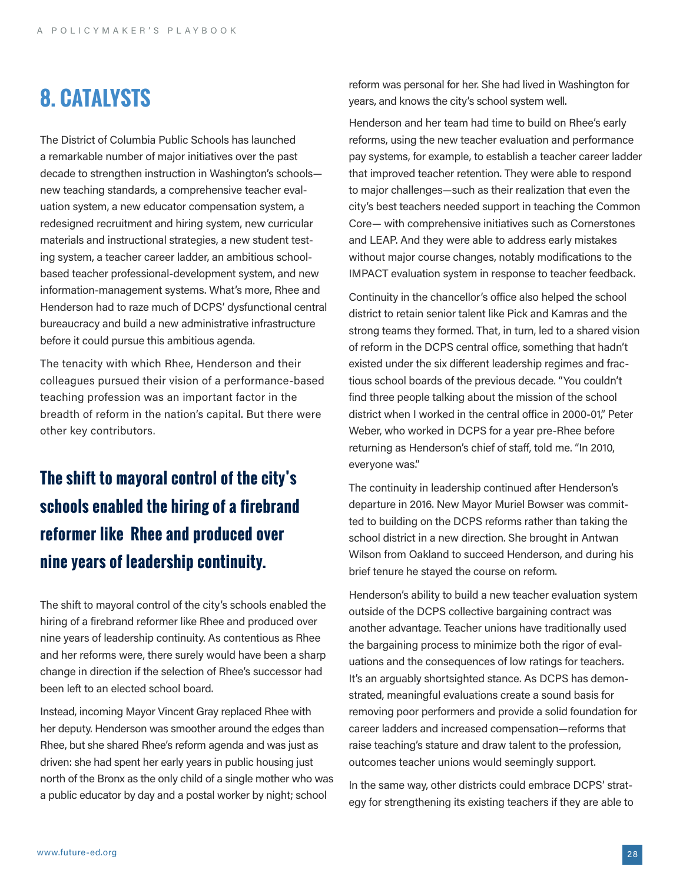# <span id="page-31-0"></span>**8. CATALYSTS**

The District of Columbia Public Schools has launched a remarkable number of major initiatives over the past decade to strengthen instruction in Washington's schools new teaching standards, a comprehensive teacher evaluation system, a new educator compensation system, a redesigned recruitment and hiring system, new curricular materials and instructional strategies, a new student testing system, a teacher career ladder, an ambitious schoolbased teacher professional-development system, and new information-management systems. What's more, Rhee and Henderson had to raze much of DCPS' dysfunctional central bureaucracy and build a new administrative infrastructure before it could pursue this ambitious agenda.

The tenacity with which Rhee, Henderson and their colleagues pursued their vision of a performance-based teaching profession was an important factor in the breadth of reform in the nation's capital. But there were other key contributors.

# **The shift to mayoral control of the city's schools enabled the hiring of a firebrand reformer like Rhee and produced over nine years of leadership continuity.**

The shift to mayoral control of the city's schools enabled the hiring of a firebrand reformer like Rhee and produced over nine years of leadership continuity. As contentious as Rhee and her reforms were, there surely would have been a sharp change in direction if the selection of Rhee's successor had been left to an elected school board.

Instead, incoming Mayor Vincent Gray replaced Rhee with her deputy. Henderson was smoother around the edges than Rhee, but she shared Rhee's reform agenda and was just as driven: she had spent her early years in public housing just north of the Bronx as the only child of a single mother who was a public educator by day and a postal worker by night; school

reform was personal for her. She had lived in Washington for years, and knows the city's school system well.

Henderson and her team had time to build on Rhee's early reforms, using the new teacher evaluation and performance pay systems, for example, to establish a teacher career ladder that improved teacher retention. They were able to respond to major challenges—such as their realization that even the city's best teachers needed support in teaching the Common Core— with comprehensive initiatives such as Cornerstones and LEAP. And they were able to address early mistakes without major course changes, notably modifications to the IMPACT evaluation system in response to teacher feedback.

Continuity in the chancellor's office also helped the school district to retain senior talent like Pick and Kamras and the strong teams they formed. That, in turn, led to a shared vision of reform in the DCPS central office, something that hadn't existed under the six different leadership regimes and fractious school boards of the previous decade. "You couldn't find three people talking about the mission of the school district when I worked in the central office in 2000-01," Peter Weber, who worked in DCPS for a year pre-Rhee before returning as Henderson's chief of staff, told me. "In 2010, everyone was."

The continuity in leadership continued after Henderson's departure in 2016. New Mayor Muriel Bowser was committed to building on the DCPS reforms rather than taking the school district in a new direction. She brought in Antwan Wilson from Oakland to succeed Henderson, and during his brief tenure he stayed the course on reform.

Henderson's ability to build a new teacher evaluation system outside of the DCPS collective bargaining contract was another advantage. Teacher unions have traditionally used the bargaining process to minimize both the rigor of evaluations and the consequences of low ratings for teachers. It's an arguably shortsighted stance. As DCPS has demonstrated, meaningful evaluations create a sound basis for removing poor performers and provide a solid foundation for career ladders and increased compensation—reforms that raise teaching's stature and draw talent to the profession, outcomes teacher unions would seemingly support.

In the same way, other districts could embrace DCPS' strategy for strengthening its existing teachers if they are able to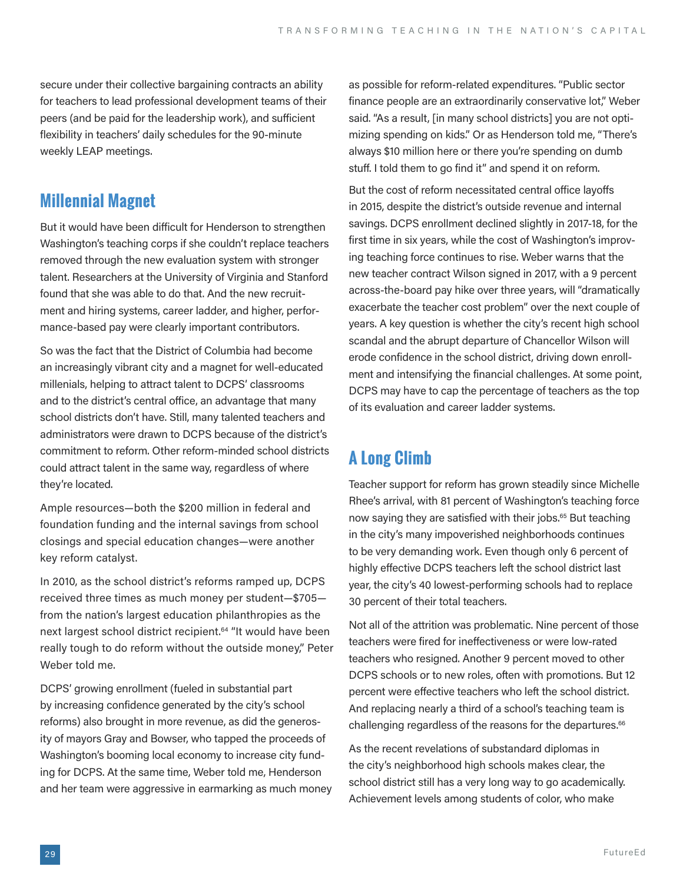secure under their collective bargaining contracts an ability for teachers to lead professional development teams of their peers (and be paid for the leadership work), and sufficient flexibility in teachers' daily schedules for the 90-minute weekly LEAP meetings.

### **Millennial Magnet**

But it would have been difficult for Henderson to strengthen Washington's teaching corps if she couldn't replace teachers removed through the new evaluation system with stronger talent. Researchers at the University of Virginia and Stanford found that she was able to do that. And the new recruitment and hiring systems, career ladder, and higher, performance-based pay were clearly important contributors.

So was the fact that the District of Columbia had become an increasingly vibrant city and a magnet for well-educated millenials, helping to attract talent to DCPS' classrooms and to the district's central office, an advantage that many school districts don't have. Still, many talented teachers and administrators were drawn to DCPS because of the district's commitment to reform. Other reform-minded school districts could attract talent in the same way, regardless of where they're located.

Ample resources—both the \$200 million in federal and foundation funding and the internal savings from school closings and special education changes—were another key reform catalyst.

In 2010, as the school district's reforms ramped up, DCPS received three times as much money per student—\$705 from the nation's largest education philanthropies as the next largest school district recipient.<sup>64</sup> "It would have been really tough to do reform without the outside money," Peter Weber told me.

DCPS' growing enrollment (fueled in substantial part by increasing confidence generated by the city's school reforms) also brought in more revenue, as did the generosity of mayors Gray and Bowser, who tapped the proceeds of Washington's booming local economy to increase city funding for DCPS. At the same time, Weber told me, Henderson and her team were aggressive in earmarking as much money as possible for reform-related expenditures. "Public sector finance people are an extraordinarily conservative lot," Weber said. "As a result, [in many school districts] you are not optimizing spending on kids." Or as Henderson told me, "There's always \$10 million here or there you're spending on dumb stuff. I told them to go find it" and spend it on reform.

But the cost of reform necessitated central office layoffs in 2015, despite the district's outside revenue and internal savings. DCPS enrollment declined slightly in 2017-18, for the first time in six years, while the cost of Washington's improving teaching force continues to rise. Weber warns that the new teacher contract Wilson signed in 2017, with a 9 percent across-the-board pay hike over three years, will "dramatically exacerbate the teacher cost problem" over the next couple of years. A key question is whether the city's recent high school scandal and the abrupt departure of Chancellor Wilson will erode confidence in the school district, driving down enrollment and intensifying the financial challenges. At some point, DCPS may have to cap the percentage of teachers as the top of its evaluation and career ladder systems.

# **A Long Climb**

Teacher support for reform has grown steadily since Michelle Rhee's arrival, with 81 percent of Washington's teaching force now saying they are satisfied with their jobs.<sup>65</sup> But teaching in the city's many impoverished neighborhoods continues to be very demanding work. Even though only 6 percent of highly effective DCPS teachers left the school district last year, the city's 40 lowest-performing schools had to replace 30 percent of their total teachers.

Not all of the attrition was problematic. Nine percent of those teachers were fired for ineffectiveness or were low-rated teachers who resigned. Another 9 percent moved to other DCPS schools or to new roles, often with promotions. But 12 percent were effective teachers who left the school district. And replacing nearly a third of a school's teaching team is challenging regardless of the reasons for the departures.<sup>66</sup>

As the recent revelations of substandard diplomas in the city's neighborhood high schools makes clear, the school district still has a very long way to go academically. Achievement levels among students of color, who make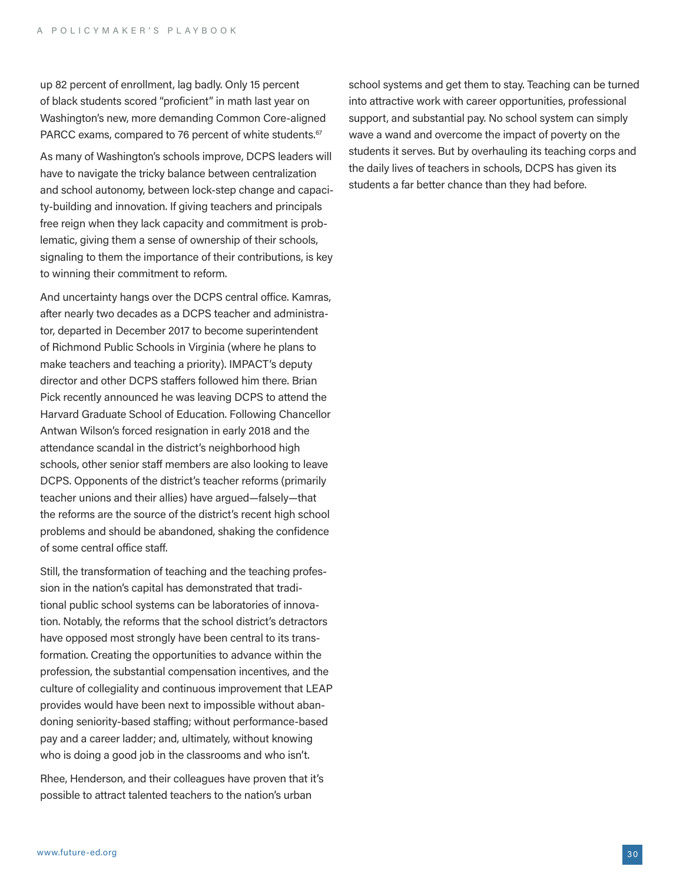up 82 percent of enrollment, lag badly. Only 15 percent of black students scored "proficient" in math last year on Washington's new, more demanding Common Core-aligned PARCC exams, compared to 76 percent of white students.<sup>67</sup>

As many of Washington's schools improve, DCPS leaders will have to navigate the tricky balance between centralization and school autonomy, between lock-step change and capacity-building and innovation. If giving teachers and principals free reign when they lack capacity and commitment is problematic, giving them a sense of ownership of their schools, signaling to them the importance of their contributions, is key to winning their commitment to reform.

And uncertainty hangs over the DCPS central office. Kamras, after nearly two decades as a DCPS teacher and administrator, departed in December 2017 to become superintendent of Richmond Public Schools in Virginia (where he plans to make teachers and teaching a priority). IMPACT's deputy director and other DCPS staffers followed him there. Brian Pick recently announced he was leaving DCPS to attend the Harvard Graduate School of Education. Following Chancellor Antwan Wilson's forced resignation in early 2018 and the attendance scandal in the district's neighborhood high schools, other senior staff members are also looking to leave DCPS. Opponents of the district's teacher reforms (primarily teacher unions and their allies) have argued—falsely—that the reforms are the source of the district's recent high school problems and should be abandoned, shaking the confidence of some central office staff.

Still, the transformation of teaching and the teaching profession in the nation's capital has demonstrated that traditional public school systems can be laboratories of innovation. Notably, the reforms that the school district's detractors have opposed most strongly have been central to its transformation. Creating the opportunities to advance within the profession, the substantial compensation incentives, and the culture of collegiality and continuous improvement that LEAP provides would have been next to impossible without abandoning seniority-based staffing; without performance-based pay and a career ladder; and, ultimately, without knowing who is doing a good job in the classrooms and who isn't.

Rhee, Henderson, and their colleagues have proven that it's possible to attract talented teachers to the nation's urban

school systems and get them to stay. Teaching can be turned into attractive work with career opportunities, professional support, and substantial pay. No school system can simply wave a wand and overcome the impact of poverty on the students it serves. But by overhauling its teaching corps and the daily lives of teachers in schools, DCPS has given its students a far better chance than they had before.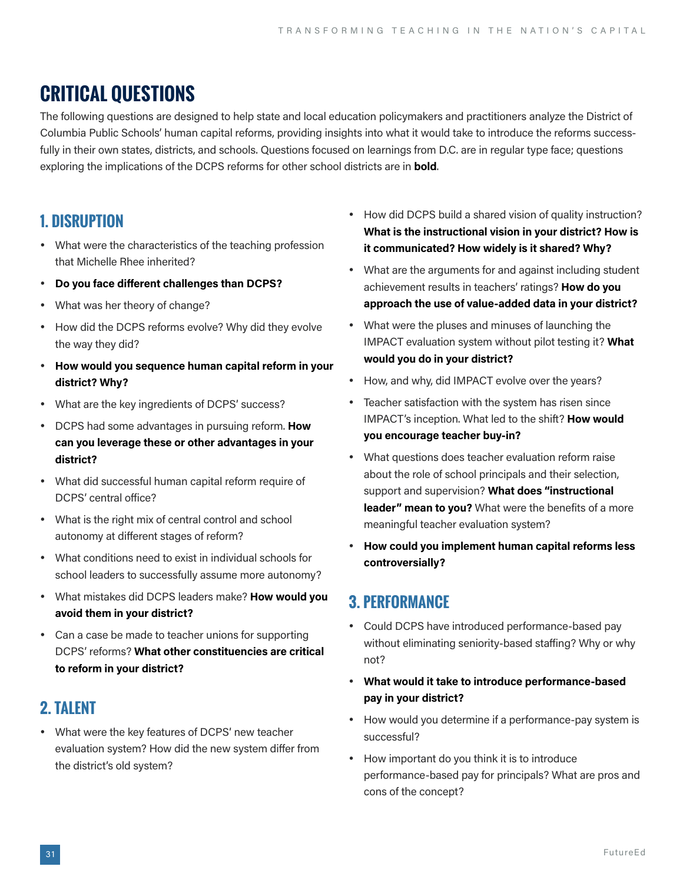# **CRITICAL QUESTIONS**

The following questions are designed to help state and local education policymakers and practitioners analyze the District of Columbia Public Schools' human capital reforms, providing insights into what it would take to introduce the reforms successfully in their own states, districts, and schools. Questions focused on learnings from D.C. are in regular type face; questions exploring the implications of the DCPS reforms for other school districts are in **bold**.

### **1. DISRUPTION**

- What were the characteristics of the teaching profession that Michelle Rhee inherited?
- **Do you face different challenges than DCPS?**
- What was her theory of change?
- How did the DCPS reforms evolve? Why did they evolve the way they did?
- **How would you sequence human capital reform in your district? Why?**
- What are the key ingredients of DCPS' success?
- DCPS had some advantages in pursuing reform. **How can you leverage these or other advantages in your district?**
- What did successful human capital reform require of DCPS' central office?
- What is the right mix of central control and school autonomy at different stages of reform?
- What conditions need to exist in individual schools for school leaders to successfully assume more autonomy?
- What mistakes did DCPS leaders make? **How would you avoid them in your district?**
- Can a case be made to teacher unions for supporting DCPS' reforms? **What other constituencies are critical to reform in your district?**

#### **2. TALENT**

• What were the key features of DCPS' new teacher evaluation system? How did the new system differ from the district's old system?

- How did DCPS build a shared vision of quality instruction? **What is the instructional vision in your district? How is it communicated? How widely is it shared? Why?**
- What are the arguments for and against including student achievement results in teachers' ratings? **How do you approach the use of value-added data in your district?**
- What were the pluses and minuses of launching the IMPACT evaluation system without pilot testing it? **What would you do in your district?**
- How, and why, did IMPACT evolve over the years?
- Teacher satisfaction with the system has risen since IMPACT's inception. What led to the shift? **How would you encourage teacher buy-in?**
- What questions does teacher evaluation reform raise about the role of school principals and their selection, support and supervision? **What does "instructional leader" mean to you?** What were the benefits of a more meaningful teacher evaluation system?
- **How could you implement human capital reforms less controversially?**

### **3. PERFORMANCE**

- Could DCPS have introduced performance-based pay without eliminating seniority-based staffing? Why or why not?
- **What would it take to introduce performance-based pay in your district?**
- How would you determine if a performance-pay system is successful?
- How important do you think it is to introduce performance-based pay for principals? What are pros and cons of the concept?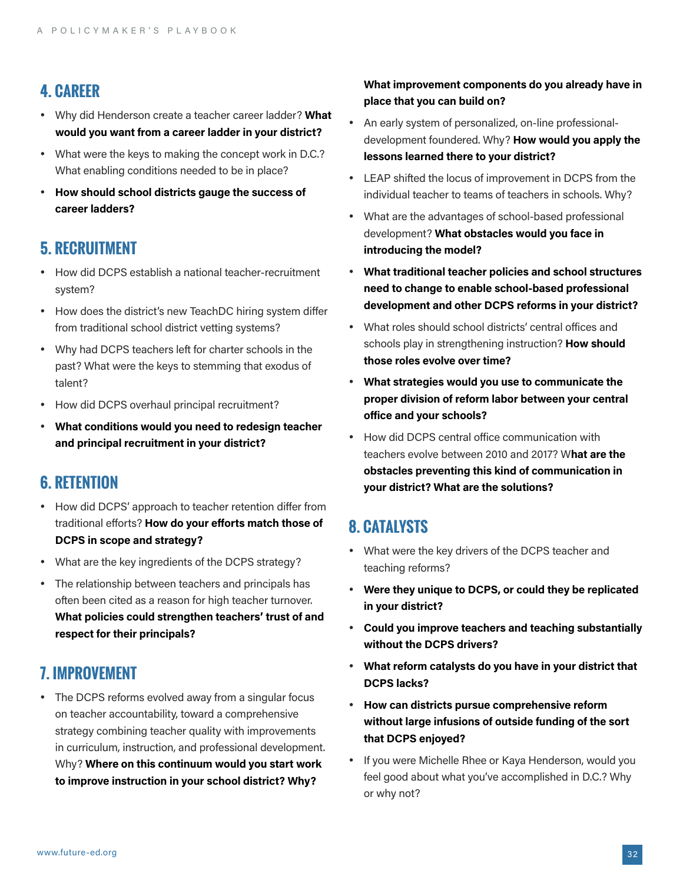#### **4. CAREER**

- Why did Henderson create a teacher career ladder? **What would you want from a career ladder in your district?**
- What were the keys to making the concept work in D.C.? What enabling conditions needed to be in place?
- **How should school districts gauge the success of career ladders?**

#### **5. RECRUITMENT**

- How did DCPS establish a national teacher-recruitment system?
- How does the district's new TeachDC hiring system differ from traditional school district vetting systems?
- Why had DCPS teachers left for charter schools in the past? What were the keys to stemming that exodus of talent?
- How did DCPS overhaul principal recruitment?
- **What conditions would you need to redesign teacher and principal recruitment in your district?**

#### **6. RETENTION**

- How did DCPS' approach to teacher retention differ from traditional efforts? **How do your efforts match those of DCPS in scope and strategy?**
- What are the key ingredients of the DCPS strategy?
- The relationship between teachers and principals has often been cited as a reason for high teacher turnover. **What policies could strengthen teachers' trust of and respect for their principals?**

#### **7. IMPROVEMENT**

• The DCPS reforms evolved away from a singular focus on teacher accountability, toward a comprehensive strategy combining teacher quality with improvements in curriculum, instruction, and professional development. Why? **Where on this continuum would you start work to improve instruction in your school district? Why?** 

#### **What improvement components do you already have in place that you can build on?**

- An early system of personalized, on-line professionaldevelopment foundered. Why? **How would you apply the lessons learned there to your district?**
- LEAP shifted the locus of improvement in DCPS from the individual teacher to teams of teachers in schools. Why?
- What are the advantages of school-based professional development? **What obstacles would you face in introducing the model?**
- **What traditional teacher policies and school structures need to change to enable school-based professional development and other DCPS reforms in your district?**
- What roles should school districts' central offices and schools play in strengthening instruction? **How should those roles evolve over time?**
- **What strategies would you use to communicate the proper division of reform labor between your central office and your schools?**
- How did DCPS central office communication with teachers evolve between 2010 and 2017? W**hat are the obstacles preventing this kind of communication in your district? What are the solutions?**

#### **8. CATALYSTS**

- What were the key drivers of the DCPS teacher and teaching reforms?
- **Were they unique to DCPS, or could they be replicated in your district?**
- **Could you improve teachers and teaching substantially without the DCPS drivers?**
- **What reform catalysts do you have in your district that DCPS lacks?**
- **How can districts pursue comprehensive reform without large infusions of outside funding of the sort that DCPS enjoyed?**
- If you were Michelle Rhee or Kaya Henderson, would you feel good about what you've accomplished in D.C.? Why or why not?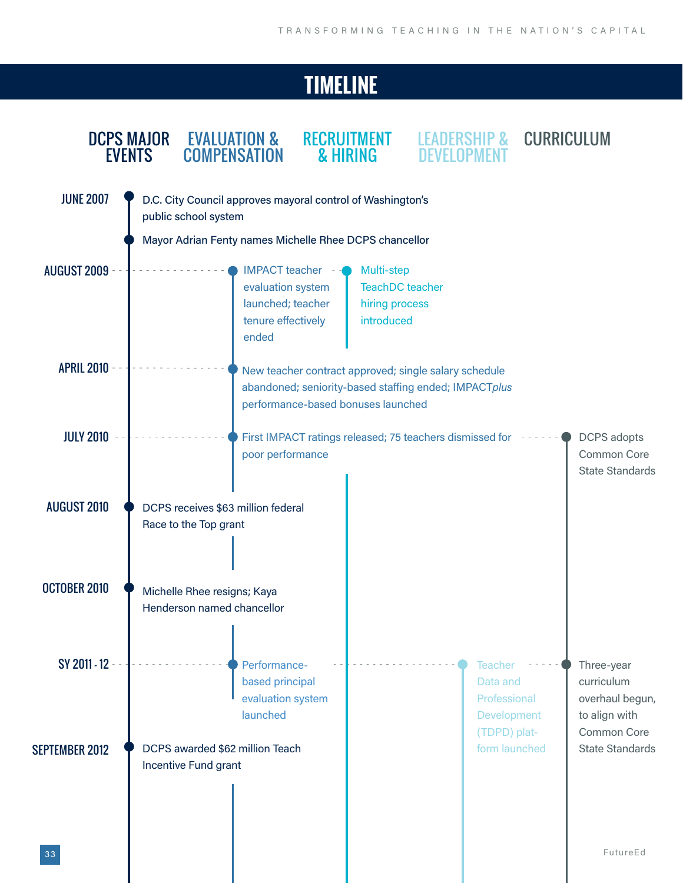# **TIMELINE**

<span id="page-36-0"></span>

| <b>DCPS MAJOR</b><br><b>EVENTS</b>                                                                     |                                                                                                                                                      | <b>EVALUATION &amp;</b><br><b>COMPENSATI</b>                                                   | & HIRING                                                                                                                       |                                                                           | <b>CURRICULUM</b>                                                           |  |  |
|--------------------------------------------------------------------------------------------------------|------------------------------------------------------------------------------------------------------------------------------------------------------|------------------------------------------------------------------------------------------------|--------------------------------------------------------------------------------------------------------------------------------|---------------------------------------------------------------------------|-----------------------------------------------------------------------------|--|--|
| <b>JUNE 2007</b><br>D.C. City Council approves mayoral control of Washington's<br>public school system |                                                                                                                                                      |                                                                                                |                                                                                                                                |                                                                           |                                                                             |  |  |
| <b>AUGUST 2009</b>                                                                                     |                                                                                                                                                      | <b>IMPACT</b> teacher<br>evaluation system<br>launched; teacher<br>tenure effectively<br>ended | Mayor Adrian Fenty names Michelle Rhee DCPS chancellor<br>Multi-step<br><b>TeachDC</b> teacher<br>hiring process<br>introduced |                                                                           |                                                                             |  |  |
| <b>APRIL 2010</b>                                                                                      | New teacher contract approved; single salary schedule<br>abandoned; seniority-based staffing ended; IMPACTplus<br>performance-based bonuses launched |                                                                                                |                                                                                                                                |                                                                           |                                                                             |  |  |
| <b>JULY 2010</b>                                                                                       |                                                                                                                                                      | poor performance                                                                               | First IMPACT ratings released; 75 teachers dismissed for                                                                       |                                                                           | <b>DCPS</b> adopts<br>Common Core<br><b>State Standards</b>                 |  |  |
| <b>AUGUST 2010</b>                                                                                     |                                                                                                                                                      | DCPS receives \$63 million federal<br>Race to the Top grant                                    |                                                                                                                                |                                                                           |                                                                             |  |  |
| OCTOBER 2010                                                                                           |                                                                                                                                                      | Michelle Rhee resigns; Kaya<br>Henderson named chancellor                                      |                                                                                                                                |                                                                           |                                                                             |  |  |
| SY 2011 - 12                                                                                           |                                                                                                                                                      | Performance-<br>based principal<br>evaluation system<br>launched                               |                                                                                                                                | <b>Teacher</b><br>Data and<br>Professional<br>Development<br>(TDPD) plat- | Three-year<br>curriculum<br>overhaul begun,<br>to align with<br>Common Core |  |  |
| <b>SEPTEMBER 2012</b>                                                                                  |                                                                                                                                                      | DCPS awarded \$62 million Teach<br>Incentive Fund grant                                        |                                                                                                                                | form launched                                                             | <b>State Standards</b>                                                      |  |  |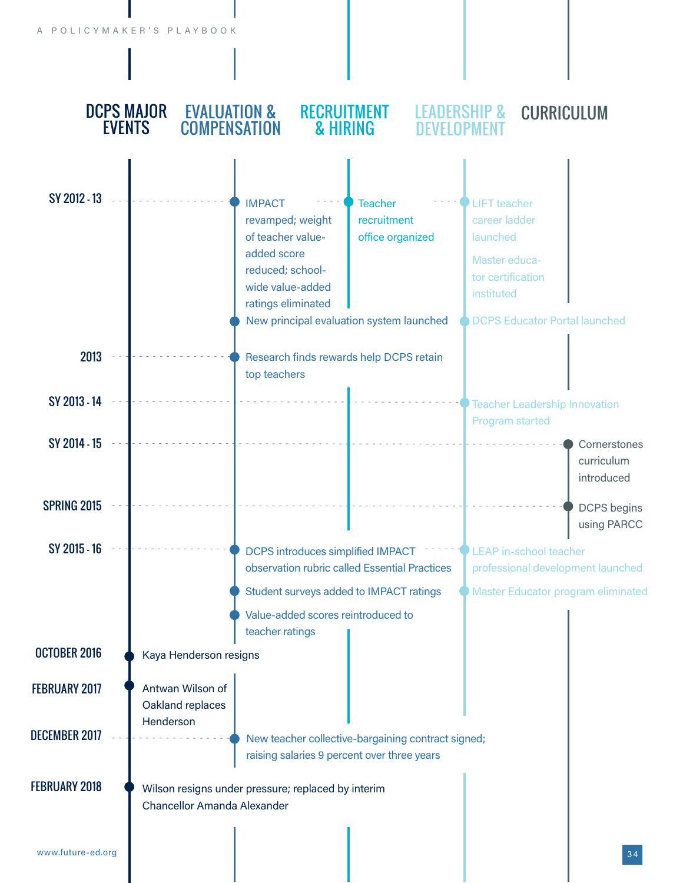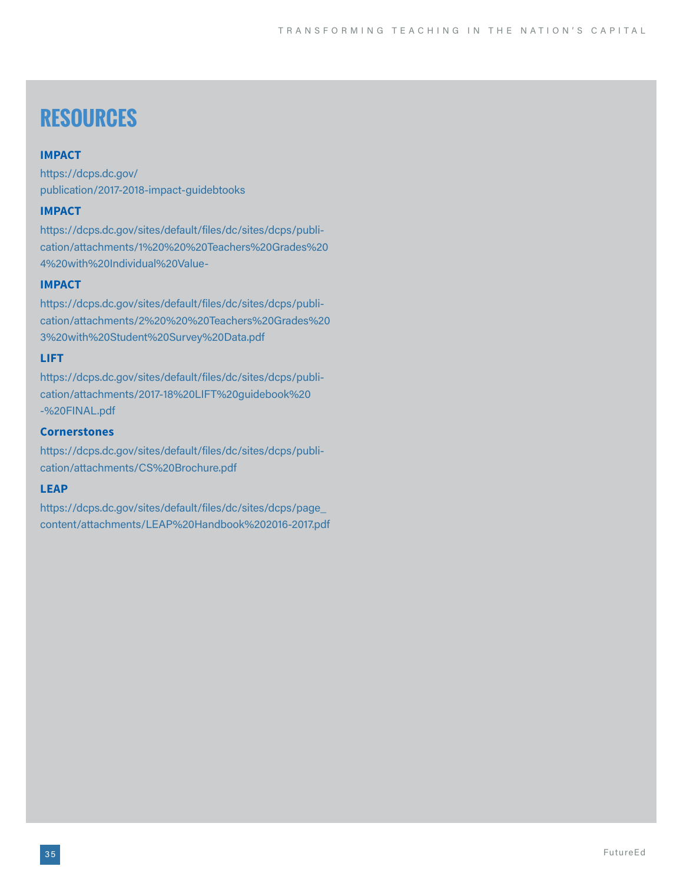# <span id="page-38-0"></span>**RESOURCES**

#### **IMPACT**

[https://dcps.dc.gov/](https://dcps.dc.gov/publication/2017-2018-impact-guidebooks) [publication/2017-2018-impact-guidebtooks](https://dcps.dc.gov/publication/2017-2018-impact-guidebooks)

#### **IMPACT**

[https://dcps.dc.gov/sites/default/files/dc/sites/dcps/publi](https://dcps.dc.gov/sites/default/files/dc/sites/dcps/publication/attachments/1%20%20%20Teachers%20G)[cation/attachments/1%20%20%20Teachers%20Grades%20](https://dcps.dc.gov/sites/default/files/dc/sites/dcps/publication/attachments/1%20%20%20Teachers%20G) [4%20with%20Individual%20Value-](https://dcps.dc.gov/sites/default/files/dc/sites/dcps/publication/attachments/1%20%20%20Teachers%20G)

#### **IMPACT**

[https://dcps.dc.gov/sites/default/files/dc/sites/dcps/publi](https://dcps.dc.gov/sites/default/files/dc/sites/dcps/publication/attachments/2%20%20%20Teachers%20Grades%203%20with%20Student%20Survey%20Data.pdf)[cation/attachments/2%20%20%20Teachers%20Grades%20](https://dcps.dc.gov/sites/default/files/dc/sites/dcps/publication/attachments/2%20%20%20Teachers%20Grades%203%20with%20Student%20Survey%20Data.pdf) [3%20with%20Student%20Survey%20Data.pdf](https://dcps.dc.gov/sites/default/files/dc/sites/dcps/publication/attachments/2%20%20%20Teachers%20Grades%203%20with%20Student%20Survey%20Data.pdf)

#### **LIFT**

[https://dcps.dc.gov/sites/default/files/dc/sites/dcps/publi](https://dcps.dc.gov/sites/default/files/dc/sites/dcps/publication/attachments/2017-18%20LIFT%20guidebook%20-%20FINAL.pdf)[cation/attachments/2017-18%20LIFT%20guidebook%20](https://dcps.dc.gov/sites/default/files/dc/sites/dcps/publication/attachments/2017-18%20LIFT%20guidebook%20-%20FINAL.pdf) [-%20FINAL.pdf](https://dcps.dc.gov/sites/default/files/dc/sites/dcps/publication/attachments/2017-18%20LIFT%20guidebook%20-%20FINAL.pdf)

#### **Cornerstones**

[https://dcps.dc.gov/sites/default/files/dc/sites/dcps/publi](https://dcps.dc.gov/sites/default/files/dc/sites/dcps/publication/attachments/CS%20Brochure.pdf)[cation/attachments/CS%20Brochure.pdf](https://dcps.dc.gov/sites/default/files/dc/sites/dcps/publication/attachments/CS%20Brochure.pdf)

#### **LEAP**

[https://dcps.dc.gov/sites/default/files/dc/sites/dcps/page\\_](https://dcps.dc.gov/sites/default/files/dc/sites/dcps/page_content/attachments/LEAP%20Handbook%202016-2017.pdf) [content/attachments/LEAP%20Handbook%202016-2017.pdf](https://dcps.dc.gov/sites/default/files/dc/sites/dcps/page_content/attachments/LEAP%20Handbook%202016-2017.pdf)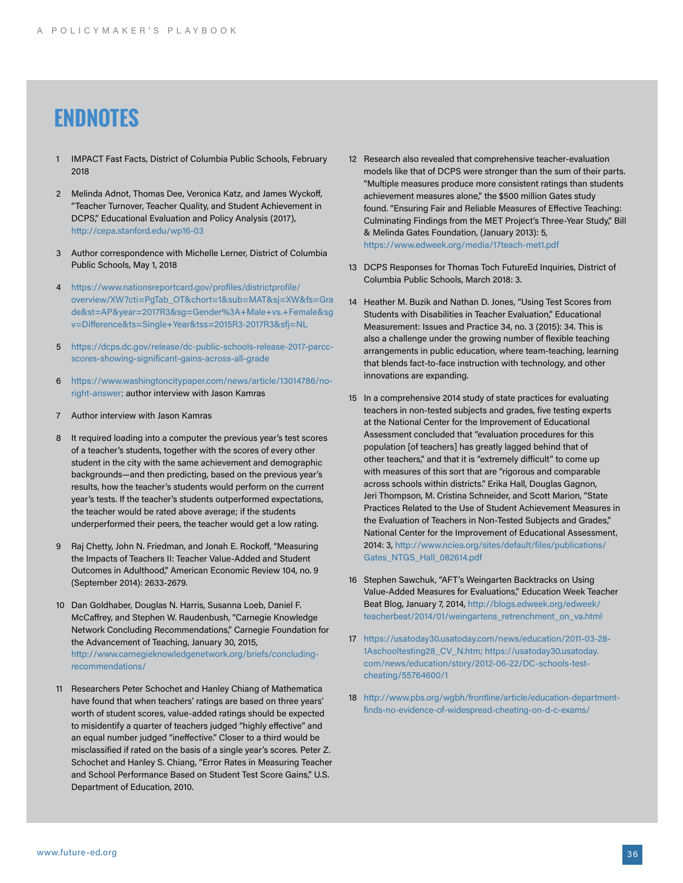# <span id="page-39-0"></span>**ENDNOTES**

- 1 IMPACT Fast Facts, District of Columbia Public Schools, February 2018
- 2 Melinda Adnot, Thomas Dee, Veronica Katz, and James Wyckoff, "Teacher Turnover, Teacher Quality, and Student Achievement in DCPS," Educational Evaluation and Policy Analysis (2017), <http://cepa.stanford.edu/wp16-03>
- 3 Author correspondence with Michelle Lerner, District of Columbia Public Schools, May 1, 2018
- 4 [https://www.nationsreportcard.gov/profiles/districtprofile/](https://www.nationsreportcard.gov/profiles/districtprofile/overview/XW?cti=PgTab_OT&chort=1&sub=MAT&sj=XW&fs=Grade&st=AP&year=2017R3&sg=Gender%3A+Male+vs.+Female&sgv=Difference&ts=Single+Year&tss=2015R3-2017R3&sfj=NL) [overview/XW?cti=PgTab\\_OT&chort=1&sub=MAT&sj=XW&fs=Gra](https://www.nationsreportcard.gov/profiles/districtprofile/overview/XW?cti=PgTab_OT&chort=1&sub=MAT&sj=XW&fs=Grade&st=AP&year=2017R3&sg=Gender%3A+Male+vs.+Female&sgv=Difference&ts=Single+Year&tss=2015R3-2017R3&sfj=NL) [de&st=AP&year=2017R3&sg=Gender%3A+Male+vs.+Female&sg](https://www.nationsreportcard.gov/profiles/districtprofile/overview/XW?cti=PgTab_OT&chort=1&sub=MAT&sj=XW&fs=Grade&st=AP&year=2017R3&sg=Gender%3A+Male+vs.+Female&sgv=Difference&ts=Single+Year&tss=2015R3-2017R3&sfj=NL) [v=Difference&ts=Single+Year&tss=2015R3-2017R3&sfj=NL](https://www.nationsreportcard.gov/profiles/districtprofile/overview/XW?cti=PgTab_OT&chort=1&sub=MAT&sj=XW&fs=Grade&st=AP&year=2017R3&sg=Gender%3A+Male+vs.+Female&sgv=Difference&ts=Single+Year&tss=2015R3-2017R3&sfj=NL)
- 5 [https://dcps.dc.gov/release/dc-public-schools-release-2017-parcc](https://dcps.dc.gov/release/dc-public-schools-release-2017-parcc-scores-showing-significant-gains-across-all-grade)[scores-showing-significant-gains-across-all-grade](https://dcps.dc.gov/release/dc-public-schools-release-2017-parcc-scores-showing-significant-gains-across-all-grade)
- 6 [https://www.washingtoncitypaper.com/news/article/13014786/no](https://www.washingtoncitypaper.com/news/article/13014786/no-right-answer;)[right-answer;](https://www.washingtoncitypaper.com/news/article/13014786/no-right-answer;) author interview with Jason Kamras
- 7 Author interview with Jason Kamras
- 8 It required loading into a computer the previous year's test scores of a teacher's students, together with the scores of every other student in the city with the same achievement and demographic backgrounds—and then predicting, based on the previous year's results, how the teacher's students would perform on the current year's tests. If the teacher's students outperformed expectations, the teacher would be rated above average; if the students underperformed their peers, the teacher would get a low rating.
- 9 Raj Chetty, John N. Friedman, and Jonah E. Rockoff, "Measuring the Impacts of Teachers II: Teacher Value-Added and Student Outcomes in Adulthood," American Economic Review 104, no. 9 (September 2014): 2633-2679.
- 10 Dan Goldhaber, Douglas N. Harris, Susanna Loeb, Daniel F. McCaffrey, and Stephen W. Raudenbush, ["Carnegie Knowledge](http://www.carnegieknowledgenetwork.org/briefs/concluding-recommendations/)  [Network Concluding Recommendations](http://www.carnegieknowledgenetwork.org/briefs/concluding-recommendations/)," Carnegie Foundation for the Advancement of Teaching, January 30, 2015, [http://www.carnegieknowledgenetwork.org/briefs/concluding](http://www.carnegieknowledgenetwork.org/briefs/concluding-recommendations/)[recommendations/](http://www.carnegieknowledgenetwork.org/briefs/concluding-recommendations/)
- 11 Researchers Peter Schochet and Hanley Chiang of Mathematica have found that when teachers' ratings are based on three years' worth of student scores, value-added ratings should be expected to misidentify a quarter of teachers judged "highly effective" and an equal number judged "ineffective." Closer to a third would be misclassified if rated on the basis of a single year's scores. Peter Z. Schochet and Hanley S. Chiang, "Error Rates in Measuring Teacher and School Performance Based on Student Test Score Gains," U.S. Department of Education, 2010.
- 12 Research also revealed that comprehensive teacher-evaluation models like that of DCPS were stronger than the sum of their parts. "Multiple measures produce more consistent ratings than students achievement measures alone," the \$500 million Gates study found. "Ensuring Fair and Reliable Measures of Effective Teaching: Culminating Findings from the MET Project's Three-Year Study," Bill & Melinda Gates Foundation, (January 2013): 5, <https://www.edweek.org/media/17teach-met1.pdf>
- 13 DCPS Responses for Thomas Toch FutureEd Inquiries, District of Columbia Public Schools, March 2018: 3.
- 14 Heather M. Buzik and Nathan D. Jones, "Using Test Scores from Students with Disabilities in Teacher Evaluation," Educational Measurement: Issues and Practice 34, no. 3 (2015): 34. This is also a challenge under the growing number of flexible teaching arrangements in public education, where team-teaching, learning that blends fact-to-face instruction with technology, and other innovations are expanding.
- 15 In a comprehensive 2014 study of state practices for evaluating teachers in non-tested subjects and grades, five testing experts at the National Center for the Improvement of Educational Assessment concluded that "evaluation procedures for this population [of teachers] has greatly lagged behind that of other teachers," and that it is "extremely difficult" to come up with measures of this sort that are "rigorous and comparable across schools within districts." Erika Hall, Douglas Gagnon, Jeri Thompson, M. Cristina Schneider, and Scott Marion, "State Practices Related to the Use of Student Achievement Measures in the Evaluation of Teachers in Non-Tested Subjects and Grades," National Center for the Improvement of Educational Assessment, 2014: 3, [http://www.nciea.org/sites/default/files/publications/](http://www.nciea.org/sites/default/files/publications/Gates_NTGS_Hall_082614.pdf) [Gates\\_NTGS\\_Hall\\_082614.pdf](http://www.nciea.org/sites/default/files/publications/Gates_NTGS_Hall_082614.pdf)
- 16 Stephen Sawchuk, "AFT's Weingarten Backtracks on Using Value-Added Measures for Evaluations," Education Week Teacher Beat Blog, January 7, 2014, [http://blogs.edweek.org/edweek/](http://blogs.edweek.org/edweek/teacherbeat/2014/01/weingartens_retrenchment_on_va.html) [teacherbeat/2014/01/weingartens\\_retrenchment\\_on\\_va.html](http://blogs.edweek.org/edweek/teacherbeat/2014/01/weingartens_retrenchment_on_va.html)
- 17 [https://usatoday30.usatoday.com/news/education/2011-03-28-](https://usatoday30.usatoday.com/news/education/2011-03-28-1Aschooltesting28_CV_N.htm;) [1Aschooltesting28\\_CV\\_N.htm;](https://usatoday30.usatoday.com/news/education/2011-03-28-1Aschooltesting28_CV_N.htm;) [https://usatoday30.usatoday.](https://usatoday30.usatoday.com/news/education/story/2012-06-22/DC-schools-test-cheating/55764600/1) [com/news/education/story/2012-06-22/DC-schools-test](https://usatoday30.usatoday.com/news/education/story/2012-06-22/DC-schools-test-cheating/55764600/1)[cheating/55764600/1](https://usatoday30.usatoday.com/news/education/story/2012-06-22/DC-schools-test-cheating/55764600/1)
- 18 [http://www.pbs.org/wgbh/frontline/article/education-department](http://www.pbs.org/wgbh/frontline/article/education-department-finds-no-evidence-of-widespread-cheating-on-d-c-exams/)[finds-no-evidence-of-widespread-cheating-on-d-c-exams/](http://www.pbs.org/wgbh/frontline/article/education-department-finds-no-evidence-of-widespread-cheating-on-d-c-exams/)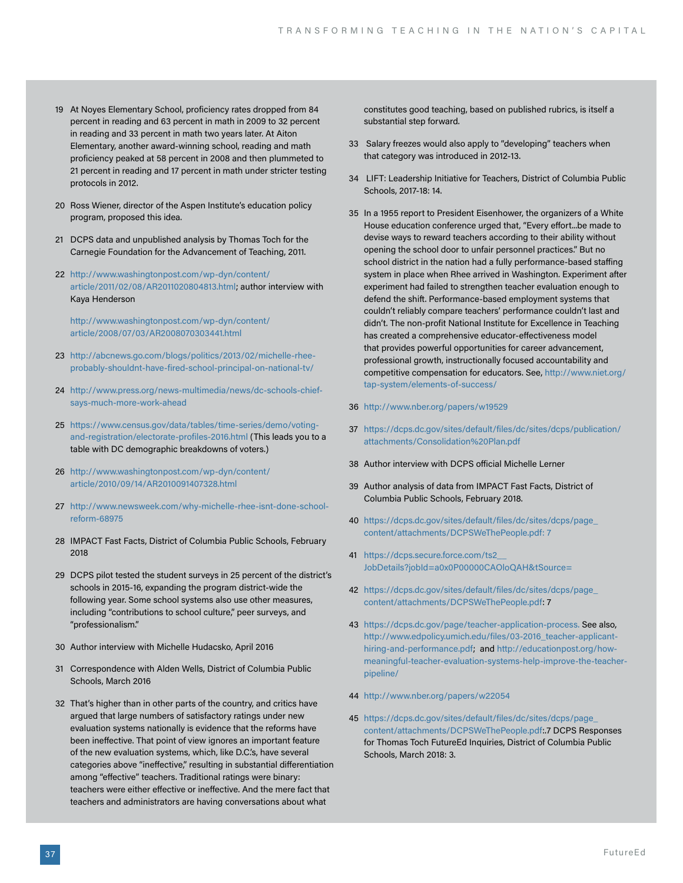- 19 At Noyes Elementary School, proficiency rates dropped from 84 percent in reading and 63 percent in math in 2009 to 32 percent in reading and 33 percent in math two years later. At Aiton Elementary, another award-winning school, reading and math proficiency peaked at 58 percent in 2008 and then plummeted to 21 percent in reading and 17 percent in math under stricter testing protocols in 2012.
- 20 Ross Wiener, director of the Aspen Institute's education policy program, proposed this idea.
- 21 DCPS data and unpublished analysis by Thomas Toch for the Carnegie Foundation for the Advancement of Teaching, 2011.
- 22 [http://www.washingtonpost.com/wp-dyn/content/](http://www.washingtonpost.com/wp-dyn/content/article/2011/02/08/AR2011020804813.html) [article/2011/02/08/AR2011020804813.html;](http://www.washingtonpost.com/wp-dyn/content/article/2011/02/08/AR2011020804813.html) author interview with Kaya Henderson

[http://www.washingtonpost.com/wp-dyn/content/](http://www.washingtonpost.com/wp-dyn/content/article/2008/07/03/AR2008070303441.html) [article/2008/07/03/AR2008070303441.html](http://www.washingtonpost.com/wp-dyn/content/article/2008/07/03/AR2008070303441.html)

- 23 [http://abcnews.go.com/blogs/politics/2013/02/michelle-rhee](http://abcnews.go.com/blogs/politics/2013/02/michelle-rhee-probably-shouldnt-have-fired-school-principal-on-national-tv/)[probably-shouldnt-have-fired-school-principal-on-national-tv/](http://abcnews.go.com/blogs/politics/2013/02/michelle-rhee-probably-shouldnt-have-fired-school-principal-on-national-tv/)
- 24 [http://www.press.org/news-multimedia/news/dc-schools-chief](http://www.press.org/news-multimedia/news/dc-schools-chief-says-much-more-work-ahead)[says-much-more-work-ahead](http://www.press.org/news-multimedia/news/dc-schools-chief-says-much-more-work-ahead)
- 25 [https://www.census.gov/data/tables/time-series/demo/voting](https://www.census.gov/data/tables/time-series/demo/voting-and-registration/electorate-profiles-2016.html)[and-registration/electorate-profiles-2016.html](https://www.census.gov/data/tables/time-series/demo/voting-and-registration/electorate-profiles-2016.html) (This leads you to a table with DC demographic breakdowns of voters.)
- 26 [http://www.washingtonpost.com/wp-dyn/content/](http://www.washingtonpost.com/wp-dyn/content/article/2010/09/14/AR2010091407328.html) [article/2010/09/14/AR2010091407328.html](http://www.washingtonpost.com/wp-dyn/content/article/2010/09/14/AR2010091407328.html)
- 27 [http://www.newsweek.com/why-michelle-rhee-isnt-done-school](http://www.newsweek.com/why-michelle-rhee-isnt-done-school-reform-68975)[reform-68975](http://www.newsweek.com/why-michelle-rhee-isnt-done-school-reform-68975)
- 28 IMPACT Fast Facts, District of Columbia Public Schools, February 2018
- 29 DCPS pilot tested the student surveys in 25 percent of the district's schools in 2015-16, expanding the program district-wide the following year. Some school systems also use other measures, including "contributions to school culture," peer surveys, and "professionalism."
- 30 Author interview with Michelle Hudacsko, April 2016
- 31 Correspondence with Alden Wells, District of Columbia Public Schools, March 2016
- 32 That's higher than in other parts of the country, and critics have argued that large numbers of satisfactory ratings under new evaluation systems nationally is evidence that the reforms have been ineffective. That point of view ignores an important feature of the new evaluation systems, which, like D.C.'s, have several categories above "ineffective," resulting in substantial differentiation among "effective" teachers. Traditional ratings were binary: teachers were either effective or ineffective. And the mere fact that teachers and administrators are having conversations about what

constitutes good teaching, based on published rubrics, is itself a substantial step forward.

- 33 Salary freezes would also apply to "developing" teachers when that category was introduced in 2012-13.
- 34 LIFT: Leadership Initiative for Teachers, District of Columbia Public Schools, 2017-18: 14.
- 35 In a 1955 report to President Eisenhower, the organizers of a White House education conference urged that, "Every effort...be made to devise ways to reward teachers according to their ability without opening the school door to unfair personnel practices." But no school district in the nation had a fully performance-based staffing system in place when Rhee arrived in Washington. Experiment after experiment had failed to strengthen teacher evaluation enough to defend the shift. Performance-based employment systems that couldn't reliably compare teachers' performance couldn't last and didn't. The non-profit National Institute for Excellence in Teaching has created a comprehensive educator-effectiveness model that provides powerful opportunities for career advancement, professional growth, instructionally focused accountability and competitive compensation for educators. See, [http://www.niet.org/](http://www.niet.org/tap-system/elements-of-success/) [tap-system/elements-of-success/](http://www.niet.org/tap-system/elements-of-success/)
- 36 <http://www.nber.org/papers/w19529>
- 37 [https://dcps.dc.gov/sites/default/files/dc/sites/dcps/publication/](https://dcps.dc.gov/sites/default/files/dc/sites/dcps/publication/attachments/Consolidation%20Plan.pdf) [attachments/Consolidation%20Plan.pdf](https://dcps.dc.gov/sites/default/files/dc/sites/dcps/publication/attachments/Consolidation%20Plan.pdf)
- 38 Author interview with DCPS official Michelle Lerner
- 39 Author analysis of data from IMPACT Fast Facts, District of Columbia Public Schools, February 2018.
- 40 [https://dcps.dc.gov/sites/default/files/dc/sites/dcps/page\\_](https://dcps.dc.gov/sites/default/files/dc/sites/dcps/page_content/attachments/DCPSWeThePeople.pdf) [content/attachments/DCPSWeThePeople.pdf](https://dcps.dc.gov/sites/default/files/dc/sites/dcps/page_content/attachments/DCPSWeThePeople.pdf): 7
- 41 [https://dcps.secure.force.com/ts2\\_\\_](https://dcps.secure.force.com/ts2__JobDetails?jobId=a0x0P00000CAOloQAH&tSource=) [JobDetails?jobId=a0x0P00000CAOloQAH&tSource=](https://dcps.secure.force.com/ts2__JobDetails?jobId=a0x0P00000CAOloQAH&tSource=)
- 42 [https://dcps.dc.gov/sites/default/files/dc/sites/dcps/page\\_](https://dcps.dc.gov/sites/default/files/dc/sites/dcps/page_content/attachments/DCPSWeThePeople.pdf) [content/attachments/DCPSWeThePeople.pdf](https://dcps.dc.gov/sites/default/files/dc/sites/dcps/page_content/attachments/DCPSWeThePeople.pdf): 7
- 43 <https://dcps.dc.gov/page/teacher-application-process.>See also, [http://www.edpolicy.umich.edu/files/03-2016\\_teacher-applicant](http://www.edpolicy.umich.edu/files/03-2016_teacher-applicant-hiring-and-performance.pdf)[hiring-and-performance.pdf](http://www.edpolicy.umich.edu/files/03-2016_teacher-applicant-hiring-and-performance.pdf); and [http://educationpost.org/how](http://educationpost.org/how-meaningful-teacher-evaluation-systems-help-improve-the-teacher-pipeline/)[meaningful-teacher-evaluation-systems-help-improve-the-teacher](http://educationpost.org/how-meaningful-teacher-evaluation-systems-help-improve-the-teacher-pipeline/)[pipeline/](http://educationpost.org/how-meaningful-teacher-evaluation-systems-help-improve-the-teacher-pipeline/)
- 44 <http://www.nber.org/papers/w22054>
- 45 [https://dcps.dc.gov/sites/default/files/dc/sites/dcps/page\\_](https://dcps.dc.gov/sites/default/files/dc/sites/dcps/page_content/attachments/DCPSWeThePeople.pdf) [content/attachments/DCPSWeThePeople.pdf](https://dcps.dc.gov/sites/default/files/dc/sites/dcps/page_content/attachments/DCPSWeThePeople.pdf):.7 DCPS Responses for Thomas Toch FutureEd Inquiries, District of Columbia Public Schools, March 2018: 3.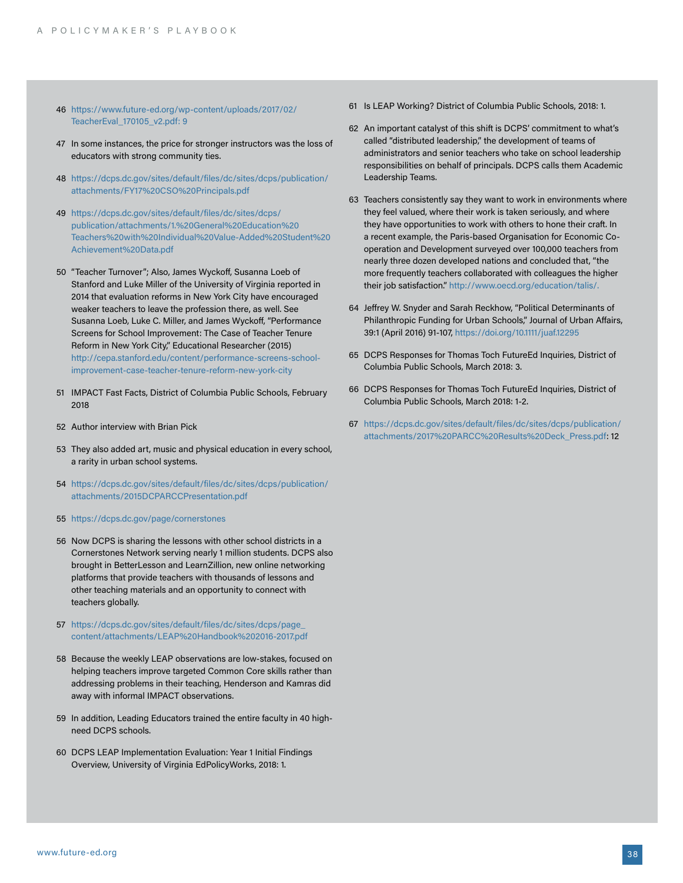- 46 [https://www.future-ed.org/wp-content/uploads/2017/02/](https://www.future-ed.org/wp-content/uploads/2017/02/TeacherEval_170105_v2.pdf) [TeacherEval\\_170105\\_v2.pdf:](https://www.future-ed.org/wp-content/uploads/2017/02/TeacherEval_170105_v2.pdf) 9
- 47 In some instances, the price for stronger instructors was the loss of educators with strong community ties.
- 48 [https://dcps.dc.gov/sites/default/files/dc/sites/dcps/publication/](https://dcps.dc.gov/sites/default/files/dc/sites/dcps/publication/attachments/FY17%20CSO%20Principals.pdf) [attachments/FY17%20CSO%20Principals.pdf](https://dcps.dc.gov/sites/default/files/dc/sites/dcps/publication/attachments/FY17%20CSO%20Principals.pdf)
- 49 [https://dcps.dc.gov/sites/default/files/dc/sites/dcps/](https://dcps.dc.gov/sites/default/files/dc/sites/dcps/publication/attachments/1.%20General%20Education%20Teachers%20with%20Individual%20Value-Added%20Student%20Achievement%20Data.pdf) [publication/attachments/1.%20General%20Education%20](https://dcps.dc.gov/sites/default/files/dc/sites/dcps/publication/attachments/1.%20General%20Education%20Teachers%20with%20Individual%20Value-Added%20Student%20Achievement%20Data.pdf) [Teachers%20with%20Individual%20Value-Added%20Student%20](https://dcps.dc.gov/sites/default/files/dc/sites/dcps/publication/attachments/1.%20General%20Education%20Teachers%20with%20Individual%20Value-Added%20Student%20Achievement%20Data.pdf) [Achievement%20Data.pdf](https://dcps.dc.gov/sites/default/files/dc/sites/dcps/publication/attachments/1.%20General%20Education%20Teachers%20with%20Individual%20Value-Added%20Student%20Achievement%20Data.pdf)
- 50 "Teacher Turnover"; Also, James Wyckoff, Susanna Loeb of Stanford and Luke Miller of the University of Virginia reported in 2014 that evaluation reforms in New York City have encouraged weaker teachers to leave the profession there, as well. See Susanna Loeb, Luke C. Miller, and James Wyckoff, "Performance Screens for School Improvement: The Case of Teacher Tenure Reform in New York City," Educational Researcher (2015) [http://cepa.stanford.edu/content/performance-screens-school](http://cepa.stanford.edu/content/performance-screens-school-improvement-case-teacher-tenure-reform-new-york-city)[improvement-case-teacher-tenure-reform-new-york-city](http://cepa.stanford.edu/content/performance-screens-school-improvement-case-teacher-tenure-reform-new-york-city)
- 51 IMPACT Fast Facts, District of Columbia Public Schools, February 2018
- 52 Author interview with Brian Pick
- 53 They also added art, music and physical education in every school, a rarity in urban school systems.
- 54 [https://dcps.dc.gov/sites/default/files/dc/sites/dcps/publication/](https://dcps.dc.gov/sites/default/files/dc/sites/dcps/publication/attachments/2015DCPARCCPresentation.pdf) [attachments/2015DCPARCCPresentation.pdf](https://dcps.dc.gov/sites/default/files/dc/sites/dcps/publication/attachments/2015DCPARCCPresentation.pdf)
- 55 <https://dcps.dc.gov/page/cornerstones>
- 56 Now DCPS is sharing the lessons with other school districts in a Cornerstones Network serving nearly 1 million students. DCPS also brought in BetterLesson and LearnZillion, new online networking platforms that provide teachers with thousands of lessons and other teaching materials and an opportunity to connect with teachers globally.
- 57 [https://dcps.dc.gov/sites/default/files/dc/sites/dcps/page\\_](https://dcps.dc.gov/sites/default/files/dc/sites/dcps/page_content/attachments/LEAP%20Handbook%202016-2017.pdf) [content/attachments/LEAP%20Handbook%202016-2017.pdf](https://dcps.dc.gov/sites/default/files/dc/sites/dcps/page_content/attachments/LEAP%20Handbook%202016-2017.pdf)
- 58 Because the weekly LEAP observations are low-stakes, focused on helping teachers improve targeted Common Core skills rather than addressing problems in their teaching, Henderson and Kamras did away with informal IMPACT observations.
- 59 In addition, Leading Educators trained the entire faculty in 40 highneed DCPS schools.
- 60 DCPS LEAP Implementation Evaluation: Year 1 Initial Findings Overview, University of Virginia EdPolicyWorks, 2018: 1.
- 61 Is LEAP Working? District of Columbia Public Schools, 2018: 1.
- 62 An important catalyst of this shift is DCPS' commitment to what's called "distributed leadership," the development of teams of administrators and senior teachers who take on school leadership responsibilities on behalf of principals. DCPS calls them Academic Leadership Teams.
- 63 Teachers consistently say they want to work in environments where they feel valued, where their work is taken seriously, and where they have opportunities to work with others to hone their craft. In a recent example, the Paris-based Organisation for Economic Cooperation and Development surveyed over 100,000 teachers from nearly three dozen developed nations and concluded that, "the more frequently teachers collaborated with colleagues the higher their job satisfaction." <http://www.oecd.org/education/talis/.>
- 64 Jeffrey W. Snyder and Sarah Reckhow, "Political Determinants of Philanthropic Funding for Urban Schools," Journal of Urban Affairs, 39:1 (April 2016) 91-107,<https://doi.org/10.1111/juaf.12295>
- 65 DCPS Responses for Thomas Toch FutureEd Inquiries, District of Columbia Public Schools, March 2018: 3.
- 66 DCPS Responses for Thomas Toch FutureEd Inquiries, District of Columbia Public Schools, March 2018: 1-2.
- 67 [https://dcps.dc.gov/sites/default/files/dc/sites/dcps/publication/](https://dcps.dc.gov/sites/default/files/dc/sites/dcps/publication/attachments/2017%20PARCC%20Results%20Deck_Press.pdf) [attachments/2017%20PARCC%20Results%20Deck\\_Press.pdf:](https://dcps.dc.gov/sites/default/files/dc/sites/dcps/publication/attachments/2017%20PARCC%20Results%20Deck_Press.pdf) 12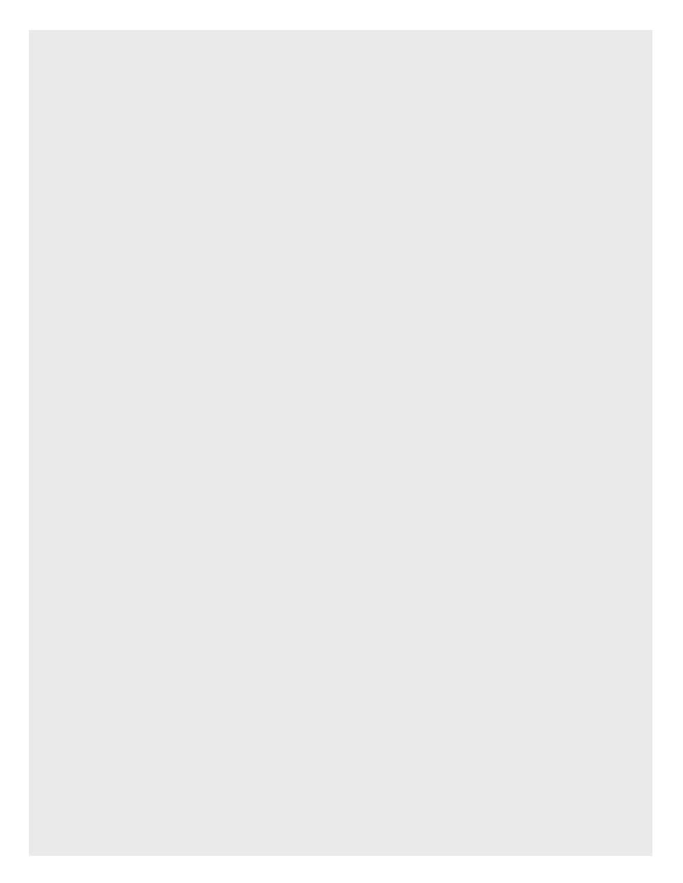